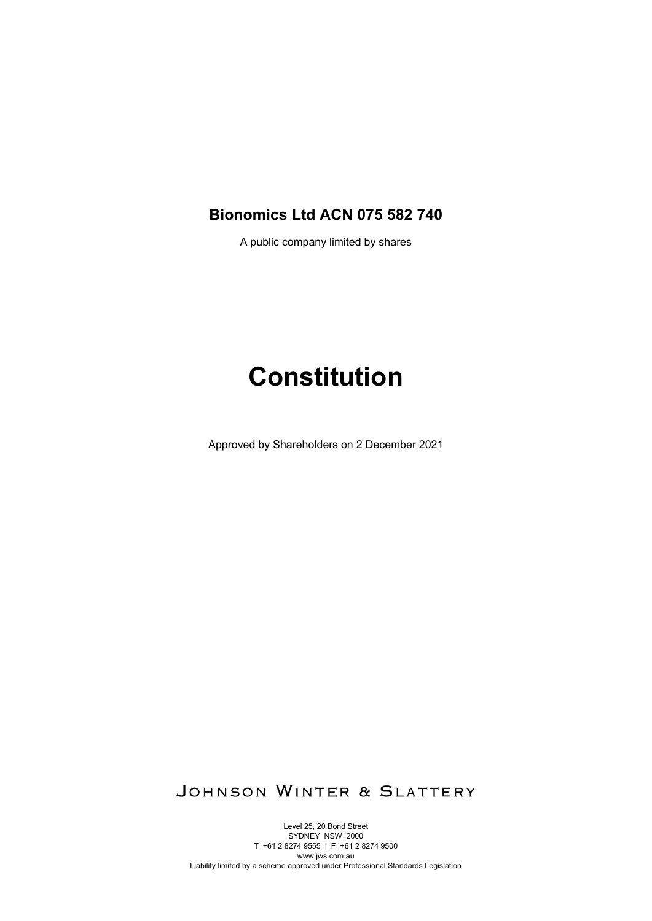## **Bionomics Ltd ACN 075 582 740**

A public company limited by shares

# **Constitution**

Approved by Shareholders on 2 December 2021

JOHNSON WINTER & SLATTERY

Level 25, 20 Bond Street SYDNEY NSW 2000 T +61 2 8274 9555 | F +61 2 8274 9500 www.jws.com.au Liability limited by a scheme approved under Professional Standards Legislation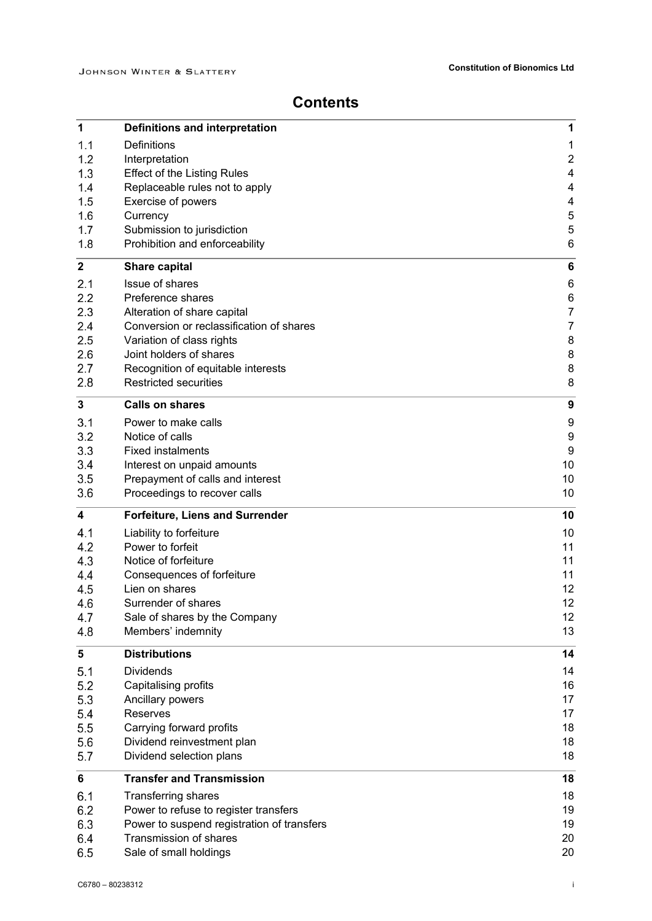# **Contents**

| 1              | <b>Definitions and interpretation</b>      | 1                       |
|----------------|--------------------------------------------|-------------------------|
| 1.1            | <b>Definitions</b>                         | $\mathbf{1}$            |
| 1.2            | Interpretation                             | $\overline{\mathbf{c}}$ |
| 1.3            | <b>Effect of the Listing Rules</b>         | $\overline{\mathbf{4}}$ |
| 1.4            | Replaceable rules not to apply             | 4                       |
| 1.5            | Exercise of powers                         | $\overline{\mathbf{4}}$ |
| 1.6            | Currency                                   | 5                       |
| 1.7            | Submission to jurisdiction                 | $\mathbf 5$             |
| 1.8            | Prohibition and enforceability             | 6                       |
| $\mathbf{2}$   | <b>Share capital</b>                       | $\bf 6$                 |
| 2.1            | Issue of shares                            | $\,6$                   |
| 2.2            | Preference shares                          | 6                       |
| 2.3            | Alteration of share capital                | $\boldsymbol{7}$        |
| 2.4            | Conversion or reclassification of shares   | $\overline{7}$          |
| 2.5            | Variation of class rights                  | $\bf 8$                 |
| 2.6            | Joint holders of shares                    | $\bf 8$                 |
| 2.7            | Recognition of equitable interests         | 8                       |
| 2.8            | <b>Restricted securities</b>               | 8                       |
| 3              | <b>Calls on shares</b>                     | 9                       |
| 3.1            | Power to make calls                        | 9                       |
| 3.2            | Notice of calls                            | $\boldsymbol{9}$        |
| 3.3            | <b>Fixed instalments</b>                   | 9                       |
| 3.4            | Interest on unpaid amounts                 | 10                      |
| 3.5            | Prepayment of calls and interest           | 10                      |
| 3.6            | Proceedings to recover calls               | 10                      |
| 4              | <b>Forfeiture, Liens and Surrender</b>     | 10                      |
| 4.1            | Liability to forfeiture                    | 10                      |
| 4.2            | Power to forfeit                           | 11                      |
| 4.3            | Notice of forfeiture                       | 11                      |
| 4.4            | Consequences of forfeiture                 | 11                      |
| 4.5            | Lien on shares                             | 12                      |
| 4.6            | Surrender of shares                        | 12                      |
| 4.7            | Sale of shares by the Company              | 12                      |
| 4.8            | Members' indemnity                         | 13                      |
| 5              | <b>Distributions</b>                       | 14                      |
| 5.1            | <b>Dividends</b>                           | 14                      |
| 5.2            | Capitalising profits                       | 16                      |
| 5.3            | Ancillary powers                           | 17                      |
| 5.4            | Reserves                                   | 17                      |
| 5.5            | Carrying forward profits                   | 18                      |
| 5.6            | Dividend reinvestment plan                 | 18                      |
| 5.7            | Dividend selection plans                   | 18                      |
| $6\phantom{1}$ | <b>Transfer and Transmission</b>           | 18                      |
| 6.1            | <b>Transferring shares</b>                 | 18                      |
| 6.2            | Power to refuse to register transfers      | 19                      |
| 6.3            | Power to suspend registration of transfers | 19                      |
| 6.4            | Transmission of shares                     | 20                      |
| 6.5            | Sale of small holdings                     | 20                      |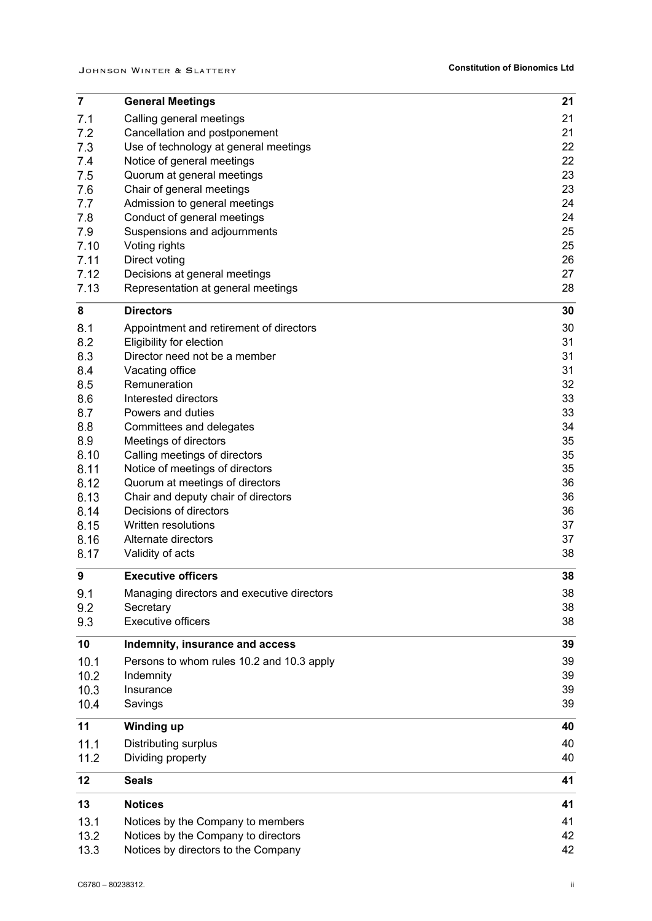| $\overline{7}$ | <b>General Meetings</b>                                       | 21       |
|----------------|---------------------------------------------------------------|----------|
| 7.1            | Calling general meetings                                      | 21       |
| 7.2            | Cancellation and postponement                                 | 21       |
| 7.3            | Use of technology at general meetings                         | 22       |
| 7.4            | Notice of general meetings                                    | 22       |
| 7.5            | Quorum at general meetings                                    | 23       |
| 7.6            | Chair of general meetings                                     | 23       |
| 7.7            | Admission to general meetings                                 | 24       |
| 7.8            | Conduct of general meetings                                   | 24       |
| 7.9            | Suspensions and adjournments                                  | 25       |
| 7.10           | Voting rights                                                 | 25       |
| 7.11           | Direct voting                                                 | 26       |
| 7.12<br>7.13   | Decisions at general meetings                                 | 27<br>28 |
|                | Representation at general meetings                            |          |
| 8              | <b>Directors</b>                                              | 30       |
| 8.1            | Appointment and retirement of directors                       | 30       |
| 8.2            | Eligibility for election                                      | 31       |
| 8.3            | Director need not be a member                                 | 31       |
| 8.4            | Vacating office                                               | 31       |
| 8.5            | Remuneration                                                  | 32       |
| 8.6            | Interested directors                                          | 33       |
| 8.7            | Powers and duties                                             | 33       |
| 8.8            | Committees and delegates                                      | 34       |
| 8.9            | Meetings of directors                                         | 35       |
| 8.10           | Calling meetings of directors                                 | 35       |
| 8.11           | Notice of meetings of directors                               | 35       |
| 8.12           | Quorum at meetings of directors                               | 36       |
| 8.13           | Chair and deputy chair of directors<br>Decisions of directors | 36       |
| 8.14<br>8.15   | Written resolutions                                           | 36<br>37 |
| 8.16           | Alternate directors                                           | 37       |
| 8.17           | Validity of acts                                              | 38       |
|                |                                                               |          |
| 9              | <b>Executive officers</b>                                     | 38       |
| 9.1            | Managing directors and executive directors                    | 38       |
| 9.2            | Secretary                                                     | 38       |
| 9.3            | <b>Executive officers</b>                                     | 38       |
| 10             | Indemnity, insurance and access                               | 39       |
| 10.1           | Persons to whom rules 10.2 and 10.3 apply                     | 39       |
| 10.2           | Indemnity                                                     | 39       |
| 10.3           | Insurance                                                     | 39       |
| 10.4           | Savings                                                       | 39       |
| 11             | <b>Winding up</b>                                             | 40       |
| 11.1           | Distributing surplus                                          | 40       |
| 11.2           | Dividing property                                             | 40       |
|                |                                                               |          |
| 12             | <b>Seals</b>                                                  | 41       |
| 13             | <b>Notices</b>                                                | 41       |
| 13.1           | Notices by the Company to members                             | 41       |
| 13.2           | Notices by the Company to directors                           | 42       |
| 13.3           | Notices by directors to the Company                           | 42       |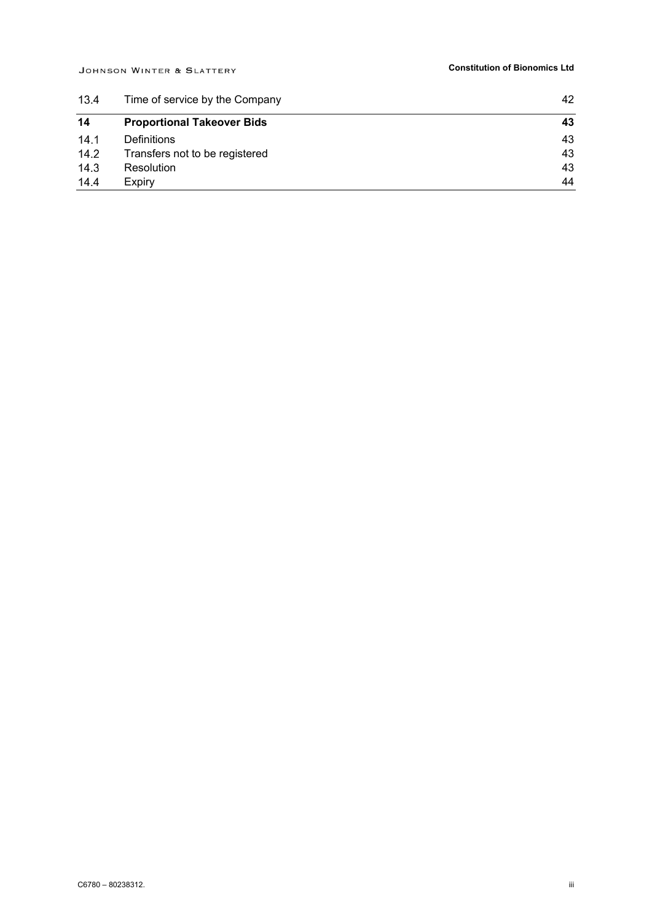| 13.4 | Time of service by the Company    | 42 |
|------|-----------------------------------|----|
| 14   | <b>Proportional Takeover Bids</b> | 43 |
| 14.1 | <b>Definitions</b>                | 43 |
| 14.2 | Transfers not to be registered    | 43 |
| 14.3 | <b>Resolution</b>                 | 43 |
| 14.4 | Expiry                            | 44 |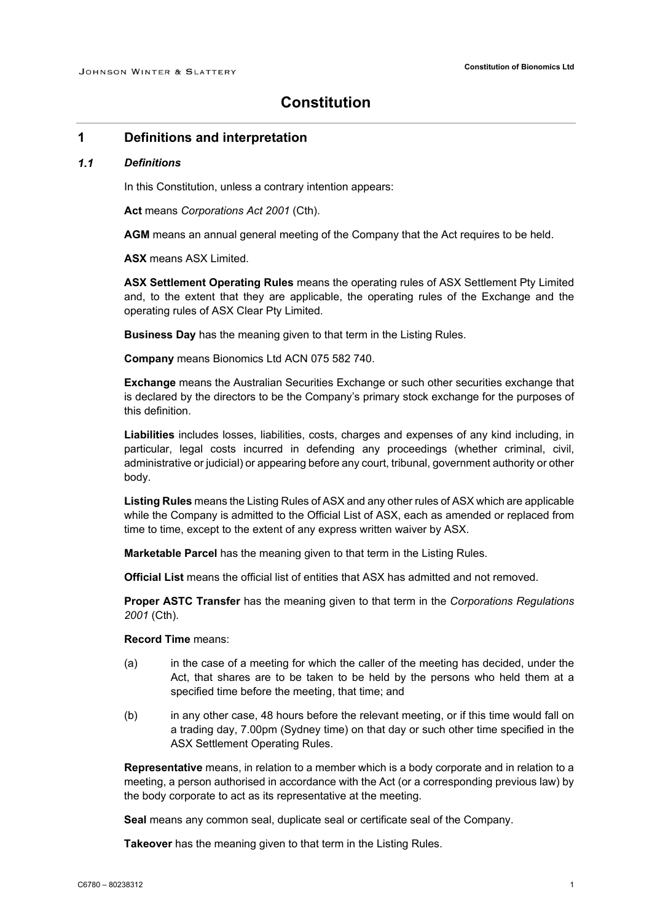### **Constitution**

### **1 Definitions and interpretation**

#### $1.1$ *Definitions*

In this Constitution, unless a contrary intention appears:

**Act** means *Corporations Act 2001* (Cth).

**AGM** means an annual general meeting of the Company that the Act requires to be held.

**ASX** means ASX Limited.

**ASX Settlement Operating Rules** means the operating rules of ASX Settlement Pty Limited and, to the extent that they are applicable, the operating rules of the Exchange and the operating rules of ASX Clear Pty Limited.

**Business Day** has the meaning given to that term in the Listing Rules.

**Company** means Bionomics Ltd ACN 075 582 740.

**Exchange** means the Australian Securities Exchange or such other securities exchange that is declared by the directors to be the Company's primary stock exchange for the purposes of this definition.

**Liabilities** includes losses, liabilities, costs, charges and expenses of any kind including, in particular, legal costs incurred in defending any proceedings (whether criminal, civil, administrative or judicial) or appearing before any court, tribunal, government authority or other body.

**Listing Rules** means the Listing Rules of ASX and any other rules of ASX which are applicable while the Company is admitted to the Official List of ASX, each as amended or replaced from time to time, except to the extent of any express written waiver by ASX.

**Marketable Parcel** has the meaning given to that term in the Listing Rules.

**Official List** means the official list of entities that ASX has admitted and not removed.

**Proper ASTC Transfer** has the meaning given to that term in the *Corporations Regulations 2001* (Cth).

**Record Time** means:

- (a) in the case of a meeting for which the caller of the meeting has decided, under the Act, that shares are to be taken to be held by the persons who held them at a specified time before the meeting, that time; and
- (b) in any other case, 48 hours before the relevant meeting, or if this time would fall on a trading day, 7.00pm (Sydney time) on that day or such other time specified in the ASX Settlement Operating Rules.

**Representative** means, in relation to a member which is a body corporate and in relation to a meeting, a person authorised in accordance with the Act (or a corresponding previous law) by the body corporate to act as its representative at the meeting.

**Seal** means any common seal, duplicate seal or certificate seal of the Company.

**Takeover** has the meaning given to that term in the Listing Rules.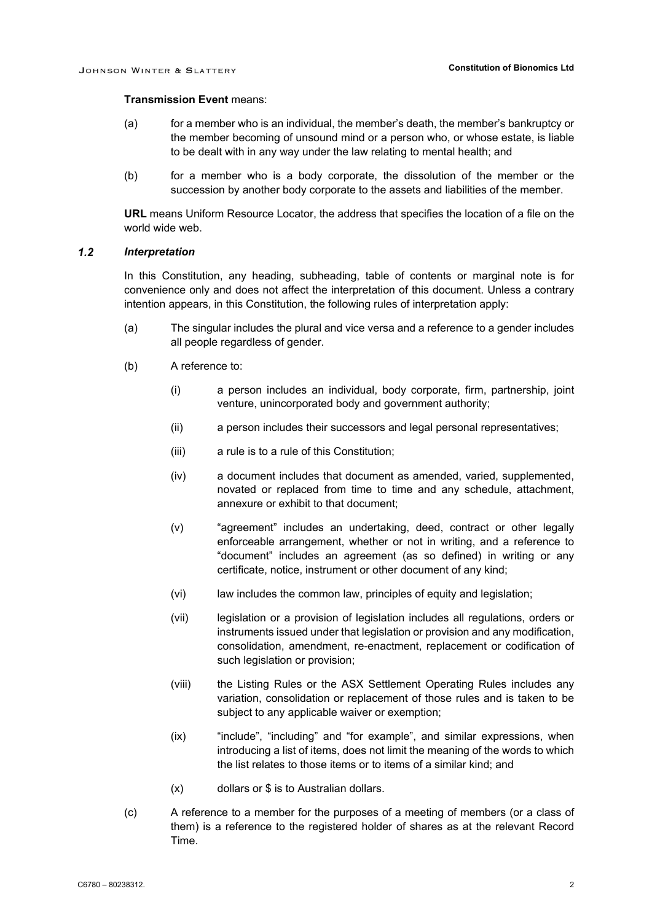### **Transmission Event** means:

- (a) for a member who is an individual, the member's death, the member's bankruptcy or the member becoming of unsound mind or a person who, or whose estate, is liable to be dealt with in any way under the law relating to mental health; and
- (b) for a member who is a body corporate, the dissolution of the member or the succession by another body corporate to the assets and liabilities of the member.

**URL** means Uniform Resource Locator, the address that specifies the location of a file on the world wide web.

#### $1.2$ *Interpretation*

In this Constitution, any heading, subheading, table of contents or marginal note is for convenience only and does not affect the interpretation of this document. Unless a contrary intention appears, in this Constitution, the following rules of interpretation apply:

- (a) The singular includes the plural and vice versa and a reference to a gender includes all people regardless of gender.
- (b) A reference to:
	- (i) a person includes an individual, body corporate, firm, partnership, joint venture, unincorporated body and government authority;
	- (ii) a person includes their successors and legal personal representatives;
	- (iii) a rule is to a rule of this Constitution;
	- (iv) a document includes that document as amended, varied, supplemented, novated or replaced from time to time and any schedule, attachment, annexure or exhibit to that document;
	- (v) "agreement" includes an undertaking, deed, contract or other legally enforceable arrangement, whether or not in writing, and a reference to "document" includes an agreement (as so defined) in writing or any certificate, notice, instrument or other document of any kind;
	- (vi) law includes the common law, principles of equity and legislation;
	- (vii) legislation or a provision of legislation includes all regulations, orders or instruments issued under that legislation or provision and any modification, consolidation, amendment, re-enactment, replacement or codification of such legislation or provision;
	- (viii) the Listing Rules or the ASX Settlement Operating Rules includes any variation, consolidation or replacement of those rules and is taken to be subject to any applicable waiver or exemption;
	- (ix) "include", "including" and "for example", and similar expressions, when introducing a list of items, does not limit the meaning of the words to which the list relates to those items or to items of a similar kind; and
	- (x) dollars or \$ is to Australian dollars.
- (c) A reference to a member for the purposes of a meeting of members (or a class of them) is a reference to the registered holder of shares as at the relevant Record Time.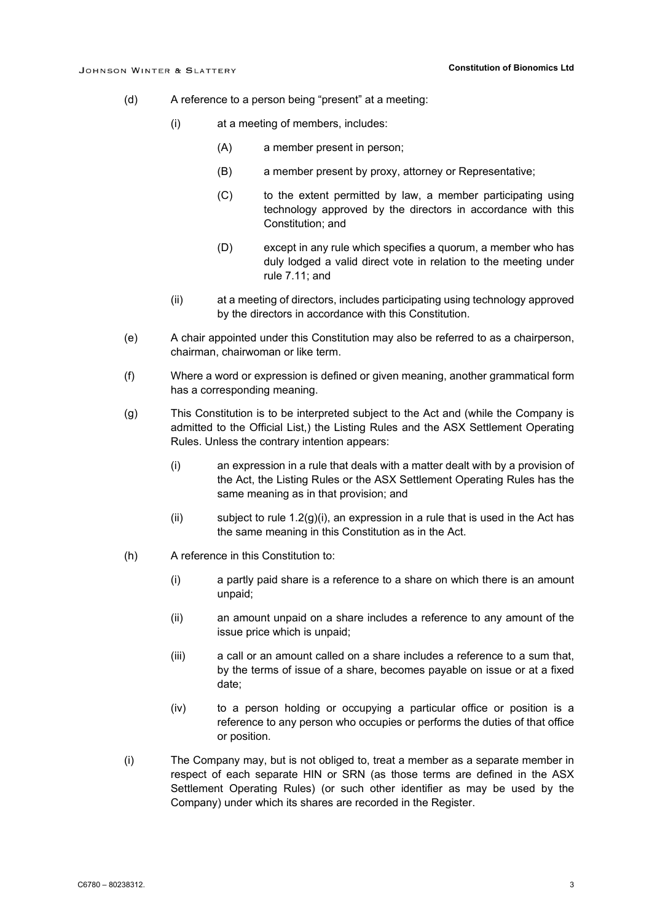- (d) A reference to a person being "present" at a meeting:
	- (i) at a meeting of members, includes:
		- (A) a member present in person;
		- (B) a member present by proxy, attorney or Representative;
		- (C) to the extent permitted by law, a member participating using technology approved by the directors in accordance with this Constitution; and
		- (D) except in any rule which specifies a quorum, a member who has duly lodged a valid direct vote in relation to the meeting under rule [7.11;](#page-29-0) and
	- (ii) at a meeting of directors, includes participating using technology approved by the directors in accordance with this Constitution.
- (e) A chair appointed under this Constitution may also be referred to as a chairperson, chairman, chairwoman or like term.
- (f) Where a word or expression is defined or given meaning, another grammatical form has a corresponding meaning.
- <span id="page-6-0"></span>(g) This Constitution is to be interpreted subject to the Act and (while the Company is admitted to the Official List,) the Listing Rules and the ASX Settlement Operating Rules. Unless the contrary intention appears:
	- (i) an expression in a rule that deals with a matter dealt with by a provision of the Act, the Listing Rules or the ASX Settlement Operating Rules has the same meaning as in that provision; and
	- (ii) subject to rule  $1.2(g)(i)$ , an expression in a rule that is used in the Act has the same meaning in this Constitution as in the Act.
- (h) A reference in this Constitution to:
	- (i) a partly paid share is a reference to a share on which there is an amount unpaid;
	- (ii) an amount unpaid on a share includes a reference to any amount of the issue price which is unpaid;
	- (iii) a call or an amount called on a share includes a reference to a sum that, by the terms of issue of a share, becomes payable on issue or at a fixed date;
	- (iv) to a person holding or occupying a particular office or position is a reference to any person who occupies or performs the duties of that office or position.
- (i) The Company may, but is not obliged to, treat a member as a separate member in respect of each separate HIN or SRN (as those terms are defined in the ASX Settlement Operating Rules) (or such other identifier as may be used by the Company) under which its shares are recorded in the Register.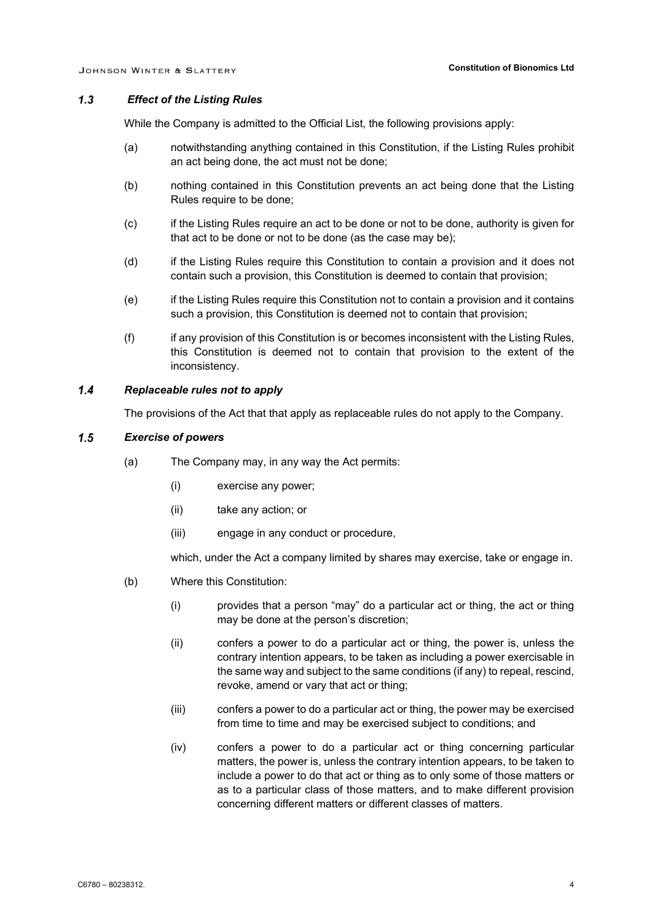#### $1.3$ *Effect of the Listing Rules*

While the Company is admitted to the Official List, the following provisions apply:

- (a) notwithstanding anything contained in this Constitution, if the Listing Rules prohibit an act being done, the act must not be done;
- (b) nothing contained in this Constitution prevents an act being done that the Listing Rules require to be done;
- (c) if the Listing Rules require an act to be done or not to be done, authority is given for that act to be done or not to be done (as the case may be);
- (d) if the Listing Rules require this Constitution to contain a provision and it does not contain such a provision, this Constitution is deemed to contain that provision;
- (e) if the Listing Rules require this Constitution not to contain a provision and it contains such a provision, this Constitution is deemed not to contain that provision;
- (f) if any provision of this Constitution is or becomes inconsistent with the Listing Rules, this Constitution is deemed not to contain that provision to the extent of the inconsistency.

#### $1.4$ *Replaceable rules not to apply*

The provisions of the Act that that apply as replaceable rules do not apply to the Company.

#### $1.5$ *Exercise of powers*

- (a) The Company may, in any way the Act permits:
	- (i) exercise any power;
	- (ii) take any action; or
	- (iii) engage in any conduct or procedure,

which, under the Act a company limited by shares may exercise, take or engage in.

- (b) Where this Constitution:
	- (i) provides that a person "may" do a particular act or thing, the act or thing may be done at the person's discretion;
	- (ii) confers a power to do a particular act or thing, the power is, unless the contrary intention appears, to be taken as including a power exercisable in the same way and subject to the same conditions (if any) to repeal, rescind, revoke, amend or vary that act or thing;
	- (iii) confers a power to do a particular act or thing, the power may be exercised from time to time and may be exercised subject to conditions; and
	- (iv) confers a power to do a particular act or thing concerning particular matters, the power is, unless the contrary intention appears, to be taken to include a power to do that act or thing as to only some of those matters or as to a particular class of those matters, and to make different provision concerning different matters or different classes of matters.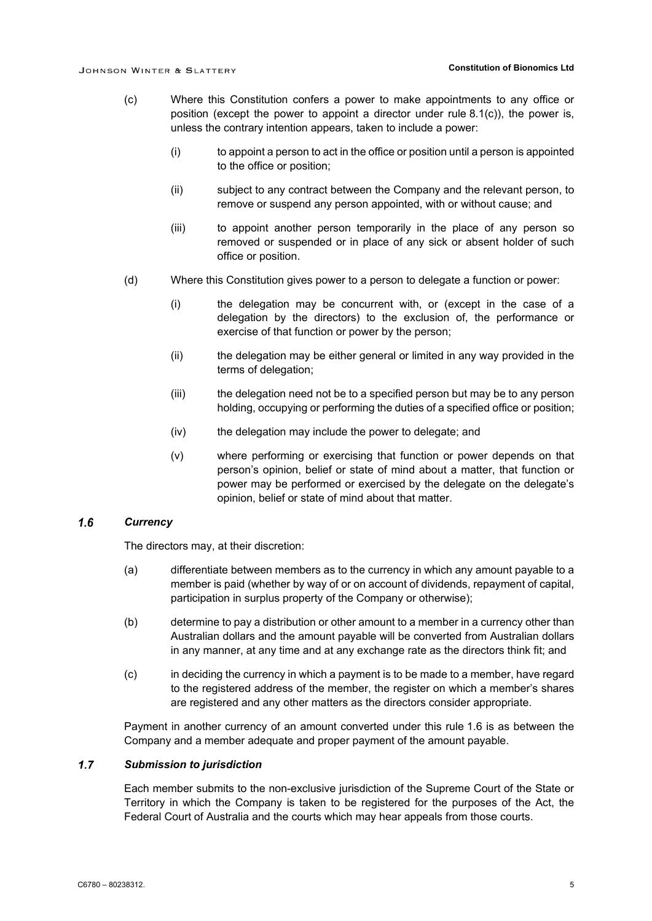- (c) Where this Constitution confers a power to make appointments to any office or position (except the power to appoint a director under rule [8.1\(c\)\)](#page-33-0), the power is, unless the contrary intention appears, taken to include a power:
	- (i) to appoint a person to act in the office or position until a person is appointed to the office or position;
	- (ii) subject to any contract between the Company and the relevant person, to remove or suspend any person appointed, with or without cause; and
	- (iii) to appoint another person temporarily in the place of any person so removed or suspended or in place of any sick or absent holder of such office or position.
- (d) Where this Constitution gives power to a person to delegate a function or power:
	- (i) the delegation may be concurrent with, or (except in the case of a delegation by the directors) to the exclusion of, the performance or exercise of that function or power by the person;
	- (ii) the delegation may be either general or limited in any way provided in the terms of delegation;
	- (iii) the delegation need not be to a specified person but may be to any person holding, occupying or performing the duties of a specified office or position;
	- (iv) the delegation may include the power to delegate; and
	- (v) where performing or exercising that function or power depends on that person's opinion, belief or state of mind about a matter, that function or power may be performed or exercised by the delegate on the delegate's opinion, belief or state of mind about that matter.

#### <span id="page-8-0"></span> $1.6$ *Currency*

The directors may, at their discretion:

- (a) differentiate between members as to the currency in which any amount payable to a member is paid (whether by way of or on account of dividends, repayment of capital, participation in surplus property of the Company or otherwise);
- (b) determine to pay a distribution or other amount to a member in a currency other than Australian dollars and the amount payable will be converted from Australian dollars in any manner, at any time and at any exchange rate as the directors think fit; and
- (c) in deciding the currency in which a payment is to be made to a member, have regard to the registered address of the member, the register on which a member's shares are registered and any other matters as the directors consider appropriate.

Payment in another currency of an amount converted under this rule [1.6](#page-8-0) is as between the Company and a member adequate and proper payment of the amount payable.

#### $1.7$ *Submission to jurisdiction*

Each member submits to the non-exclusive jurisdiction of the Supreme Court of the State or Territory in which the Company is taken to be registered for the purposes of the Act, the Federal Court of Australia and the courts which may hear appeals from those courts.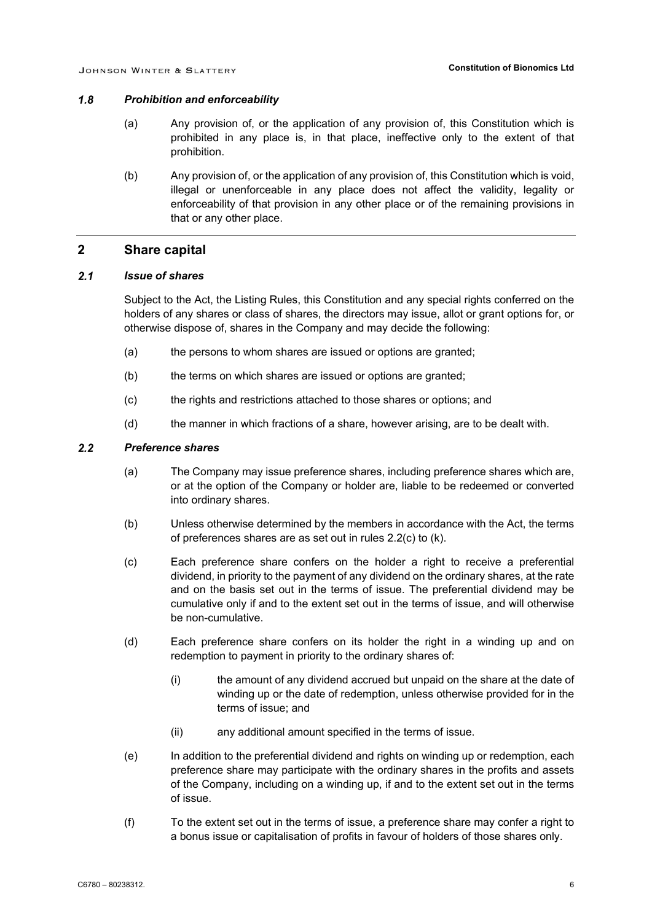#### $1.8$ *Prohibition and enforceability*

- (a) Any provision of, or the application of any provision of, this Constitution which is prohibited in any place is, in that place, ineffective only to the extent of that prohibition.
- (b) Any provision of, or the application of any provision of, this Constitution which is void, illegal or unenforceable in any place does not affect the validity, legality or enforceability of that provision in any other place or of the remaining provisions in that or any other place.

### **2 Share capital**

#### $2.1$ *Issue of shares*

Subject to the Act, the Listing Rules, this Constitution and any special rights conferred on the holders of any shares or class of shares, the directors may issue, allot or grant options for, or otherwise dispose of, shares in the Company and may decide the following:

- (a) the persons to whom shares are issued or options are granted;
- (b) the terms on which shares are issued or options are granted;
- (c) the rights and restrictions attached to those shares or options; and
- (d) the manner in which fractions of a share, however arising, are to be dealt with.

#### $2.2$ *Preference shares*

- (a) The Company may issue preference shares, including preference shares which are, or at the option of the Company or holder are, liable to be redeemed or converted into ordinary shares.
- (b) Unless otherwise determined by the members in accordance with the Act, the terms of preferences shares are as set out in rules [2.2\(c\)](#page-9-0) to [\(k\).](#page-10-0)
- <span id="page-9-0"></span>(c) Each preference share confers on the holder a right to receive a preferential dividend, in priority to the payment of any dividend on the ordinary shares, at the rate and on the basis set out in the terms of issue. The preferential dividend may be cumulative only if and to the extent set out in the terms of issue, and will otherwise be non-cumulative.
- (d) Each preference share confers on its holder the right in a winding up and on redemption to payment in priority to the ordinary shares of:
	- (i) the amount of any dividend accrued but unpaid on the share at the date of winding up or the date of redemption, unless otherwise provided for in the terms of issue; and
	- (ii) any additional amount specified in the terms of issue.
- (e) In addition to the preferential dividend and rights on winding up or redemption, each preference share may participate with the ordinary shares in the profits and assets of the Company, including on a winding up, if and to the extent set out in the terms of issue.
- (f) To the extent set out in the terms of issue, a preference share may confer a right to a bonus issue or capitalisation of profits in favour of holders of those shares only.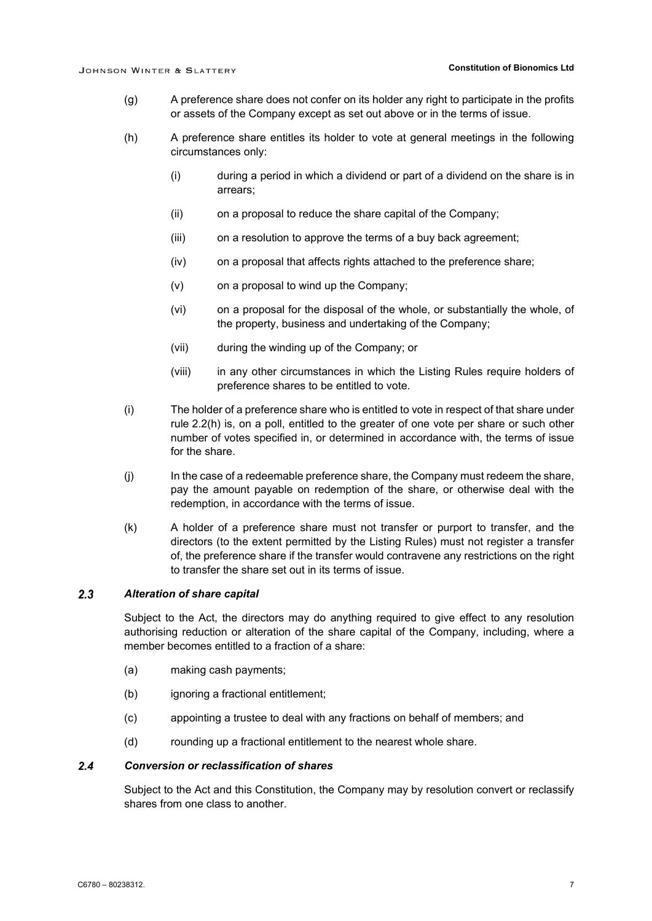- (g) A preference share does not confer on its holder any right to participate in the profits or assets of the Company except as set out above or in the terms of issue.
- <span id="page-10-1"></span>(h) A preference share entitles its holder to vote at general meetings in the following circumstances only:
	- (i) during a period in which a dividend or part of a dividend on the share is in arrears;
	- (ii) on a proposal to reduce the share capital of the Company;
	- (iii) on a resolution to approve the terms of a buy back agreement:
	- (iv) on a proposal that affects rights attached to the preference share;
	- (v) on a proposal to wind up the Company;
	- (vi) on a proposal for the disposal of the whole, or substantially the whole, of the property, business and undertaking of the Company;
	- (vii) during the winding up of the Company; or
	- (viii) in any other circumstances in which the Listing Rules require holders of preference shares to be entitled to vote.
- (i) The holder of a preference share who is entitled to vote in respect of that share under rule [2.2\(h\)](#page-10-1) is, on a poll, entitled to the greater of one vote per share or such other number of votes specified in, or determined in accordance with, the terms of issue for the share.
- (j) In the case of a redeemable preference share, the Company must redeem the share, pay the amount payable on redemption of the share, or otherwise deal with the redemption, in accordance with the terms of issue.
- <span id="page-10-0"></span>(k) A holder of a preference share must not transfer or purport to transfer, and the directors (to the extent permitted by the Listing Rules) must not register a transfer of, the preference share if the transfer would contravene any restrictions on the right to transfer the share set out in its terms of issue.

#### $2.3$ *Alteration of share capital*

Subject to the Act, the directors may do anything required to give effect to any resolution authorising reduction or alteration of the share capital of the Company, including, where a member becomes entitled to a fraction of a share:

- (a) making cash payments;
- (b) ignoring a fractional entitlement;
- (c) appointing a trustee to deal with any fractions on behalf of members; and
- (d) rounding up a fractional entitlement to the nearest whole share.

#### $2.4$ *Conversion or reclassification of shares*

Subject to the Act and this Constitution, the Company may by resolution convert or reclassify shares from one class to another.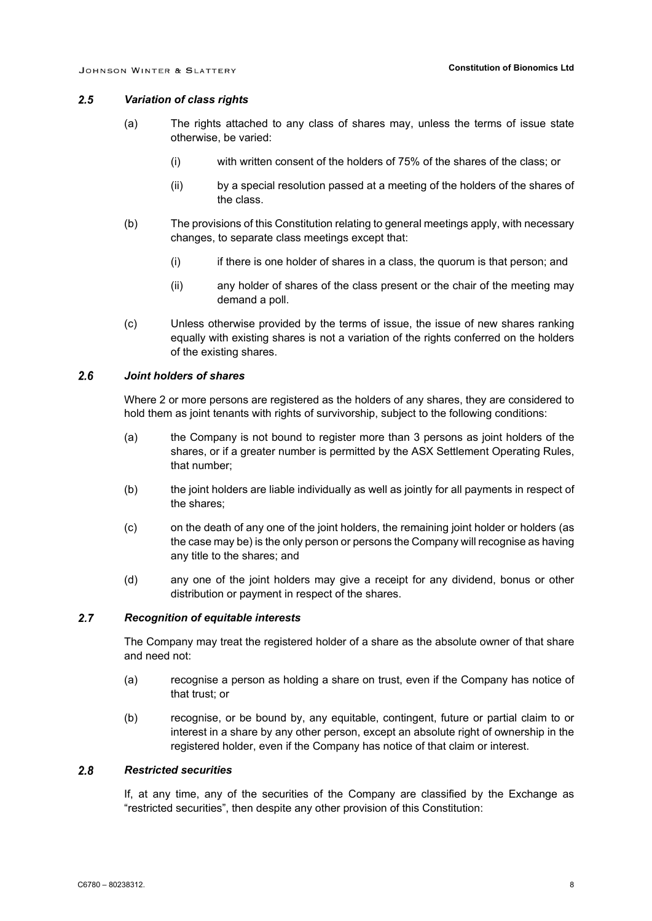#### $2.5$ *Variation of class rights*

- (a) The rights attached to any class of shares may, unless the terms of issue state otherwise, be varied:
	- (i) with written consent of the holders of 75% of the shares of the class; or
	- (ii) by a special resolution passed at a meeting of the holders of the shares of the class.
- (b) The provisions of this Constitution relating to general meetings apply, with necessary changes, to separate class meetings except that:
	- (i) if there is one holder of shares in a class, the quorum is that person; and
	- (ii) any holder of shares of the class present or the chair of the meeting may demand a poll.
- (c) Unless otherwise provided by the terms of issue, the issue of new shares ranking equally with existing shares is not a variation of the rights conferred on the holders of the existing shares.

#### $2.6$ *Joint holders of shares*

Where 2 or more persons are registered as the holders of any shares, they are considered to hold them as joint tenants with rights of survivorship, subject to the following conditions:

- (a) the Company is not bound to register more than 3 persons as joint holders of the shares, or if a greater number is permitted by the ASX Settlement Operating Rules, that number;
- (b) the joint holders are liable individually as well as jointly for all payments in respect of the shares;
- (c) on the death of any one of the joint holders, the remaining joint holder or holders (as the case may be) is the only person or persons the Company will recognise as having any title to the shares; and
- (d) any one of the joint holders may give a receipt for any dividend, bonus or other distribution or payment in respect of the shares.

#### $2.7$ *Recognition of equitable interests*

The Company may treat the registered holder of a share as the absolute owner of that share and need not:

- (a) recognise a person as holding a share on trust, even if the Company has notice of that trust; or
- (b) recognise, or be bound by, any equitable, contingent, future or partial claim to or interest in a share by any other person, except an absolute right of ownership in the registered holder, even if the Company has notice of that claim or interest.

#### $2.8$ *Restricted securities*

If, at any time, any of the securities of the Company are classified by the Exchange as "restricted securities", then despite any other provision of this Constitution: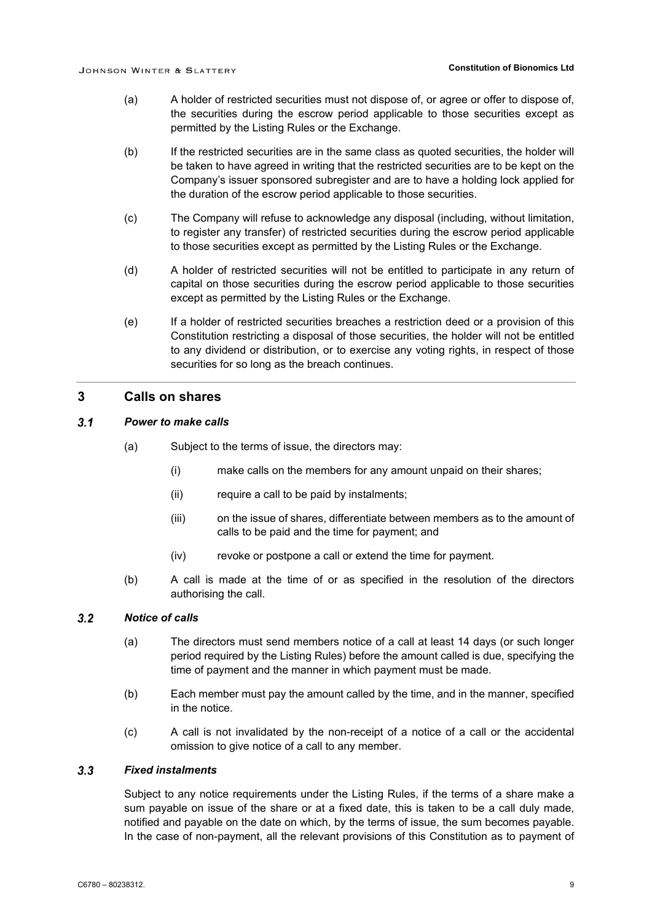- (a) A holder of restricted securities must not dispose of, or agree or offer to dispose of, the securities during the escrow period applicable to those securities except as permitted by the Listing Rules or the Exchange.
- (b) If the restricted securities are in the same class as quoted securities, the holder will be taken to have agreed in writing that the restricted securities are to be kept on the Company's issuer sponsored subregister and are to have a holding lock applied for the duration of the escrow period applicable to those securities.
- (c) The Company will refuse to acknowledge any disposal (including, without limitation, to register any transfer) of restricted securities during the escrow period applicable to those securities except as permitted by the Listing Rules or the Exchange.
- (d) A holder of restricted securities will not be entitled to participate in any return of capital on those securities during the escrow period applicable to those securities except as permitted by the Listing Rules or the Exchange.
- (e) If a holder of restricted securities breaches a restriction deed or a provision of this Constitution restricting a disposal of those securities, the holder will not be entitled to any dividend or distribution, or to exercise any voting rights, in respect of those securities for so long as the breach continues.

### **3 Calls on shares**

#### $3.1$ *Power to make calls*

- (a) Subject to the terms of issue, the directors may:
	- (i) make calls on the members for any amount unpaid on their shares;
	- (ii) require a call to be paid by instalments;
	- (iii) on the issue of shares, differentiate between members as to the amount of calls to be paid and the time for payment; and
	- (iv) revoke or postpone a call or extend the time for payment.
- (b) A call is made at the time of or as specified in the resolution of the directors authorising the call.

#### $3.2$ *Notice of calls*

- (a) The directors must send members notice of a call at least 14 days (or such longer period required by the Listing Rules) before the amount called is due, specifying the time of payment and the manner in which payment must be made.
- (b) Each member must pay the amount called by the time, and in the manner, specified in the notice.
- (c) A call is not invalidated by the non-receipt of a notice of a call or the accidental omission to give notice of a call to any member.

#### $3.3$ *Fixed instalments*

Subject to any notice requirements under the Listing Rules, if the terms of a share make a sum payable on issue of the share or at a fixed date, this is taken to be a call duly made, notified and payable on the date on which, by the terms of issue, the sum becomes payable. In the case of non-payment, all the relevant provisions of this Constitution as to payment of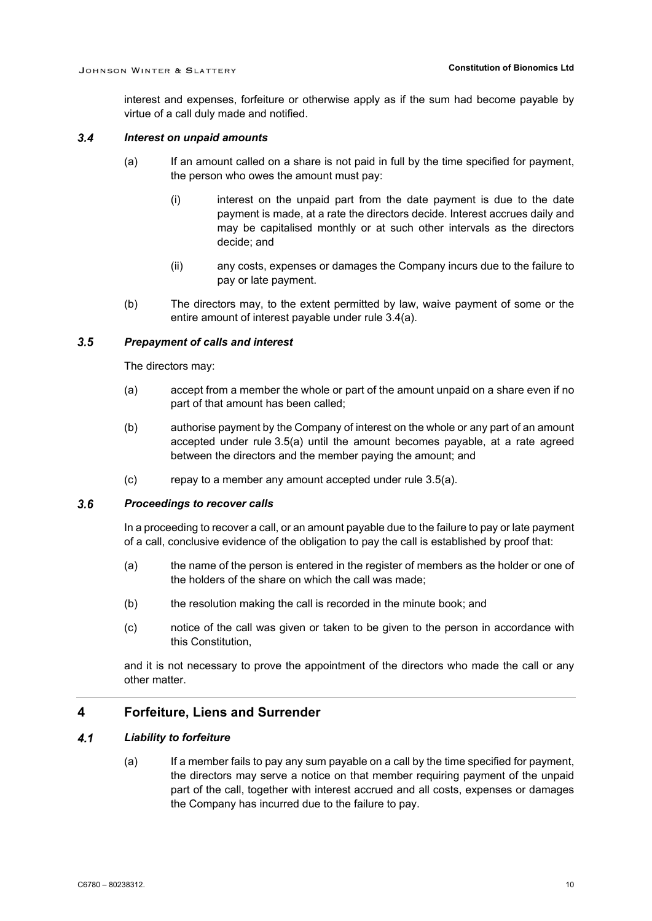interest and expenses, forfeiture or otherwise apply as if the sum had become payable by virtue of a call duly made and notified.

#### <span id="page-13-3"></span><span id="page-13-0"></span> $3.4$ *Interest on unpaid amounts*

- (a) If an amount called on a share is not paid in full by the time specified for payment, the person who owes the amount must pay:
	- (i) interest on the unpaid part from the date payment is due to the date payment is made, at a rate the directors decide. Interest accrues daily and may be capitalised monthly or at such other intervals as the directors decide; and
	- (ii) any costs, expenses or damages the Company incurs due to the failure to pay or late payment.
- (b) The directors may, to the extent permitted by law, waive payment of some or the entire amount of interest payable under rule [3.4\(a\).](#page-13-0)

#### <span id="page-13-1"></span> $3.5$ *Prepayment of calls and interest*

The directors may:

- (a) accept from a member the whole or part of the amount unpaid on a share even if no part of that amount has been called;
- (b) authorise payment by the Company of interest on the whole or any part of an amount accepted under rule [3.5\(a\)](#page-13-1) until the amount becomes payable, at a rate agreed between the directors and the member paying the amount; and
- (c) repay to a member any amount accepted under rule [3.5\(a\).](#page-13-1)

#### $3.6$ *Proceedings to recover calls*

In a proceeding to recover a call, or an amount payable due to the failure to pay or late payment of a call, conclusive evidence of the obligation to pay the call is established by proof that:

- (a) the name of the person is entered in the register of members as the holder or one of the holders of the share on which the call was made;
- (b) the resolution making the call is recorded in the minute book; and
- (c) notice of the call was given or taken to be given to the person in accordance with this Constitution,

and it is not necessary to prove the appointment of the directors who made the call or any other matter.

### **4 Forfeiture, Liens and Surrender**

#### <span id="page-13-2"></span> $4.1$ *Liability to forfeiture*

(a) If a member fails to pay any sum payable on a call by the time specified for payment, the directors may serve a notice on that member requiring payment of the unpaid part of the call, together with interest accrued and all costs, expenses or damages the Company has incurred due to the failure to pay.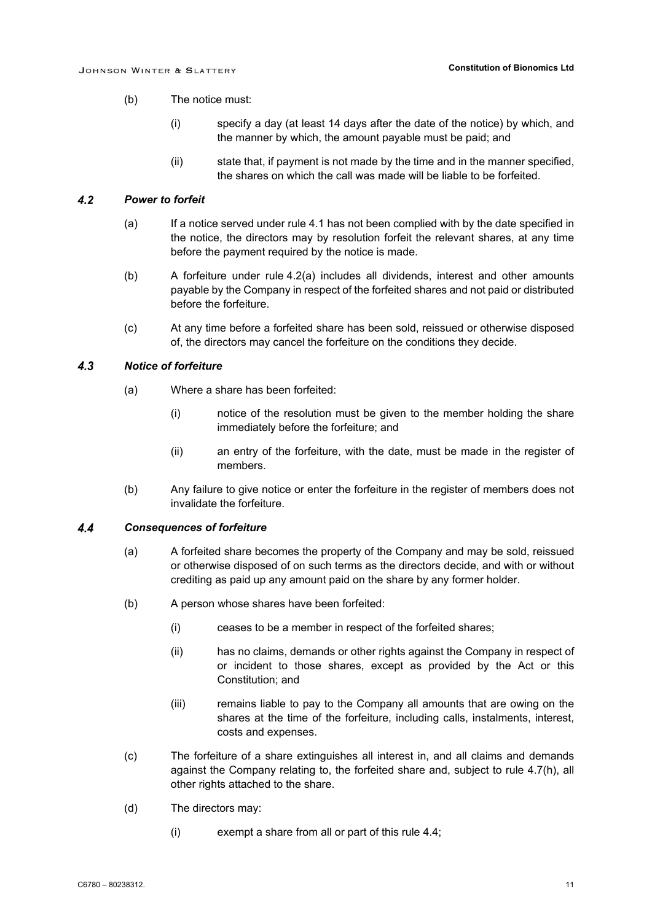- (b) The notice must:
	- (i) specify a day (at least 14 days after the date of the notice) by which, and the manner by which, the amount payable must be paid; and
	- (ii) state that, if payment is not made by the time and in the manner specified, the shares on which the call was made will be liable to be forfeited.

#### <span id="page-14-0"></span> $4.2$ *Power to forfeit*

- (a) If a notice served under rule [4.1](#page-13-2) has not been complied with by the date specified in the notice, the directors may by resolution forfeit the relevant shares, at any time before the payment required by the notice is made.
- (b) A forfeiture under rule [4.2\(a\)](#page-14-0) includes all dividends, interest and other amounts payable by the Company in respect of the forfeited shares and not paid or distributed before the forfeiture.
- (c) At any time before a forfeited share has been sold, reissued or otherwise disposed of, the directors may cancel the forfeiture on the conditions they decide.

#### $4.3$ *Notice of forfeiture*

- (a) Where a share has been forfeited:
	- (i) notice of the resolution must be given to the member holding the share immediately before the forfeiture; and
	- (ii) an entry of the forfeiture, with the date, must be made in the register of members.
- (b) Any failure to give notice or enter the forfeiture in the register of members does not invalidate the forfeiture.

#### <span id="page-14-2"></span><span id="page-14-1"></span> $4.4$ *Consequences of forfeiture*

- (a) A forfeited share becomes the property of the Company and may be sold, reissued or otherwise disposed of on such terms as the directors decide, and with or without crediting as paid up any amount paid on the share by any former holder.
- (b) A person whose shares have been forfeited:
	- (i) ceases to be a member in respect of the forfeited shares;
	- (ii) has no claims, demands or other rights against the Company in respect of or incident to those shares, except as provided by the Act or this Constitution; and
	- (iii) remains liable to pay to the Company all amounts that are owing on the shares at the time of the forfeiture, including calls, instalments, interest, costs and expenses.
- <span id="page-14-3"></span>(c) The forfeiture of a share extinguishes all interest in, and all claims and demands against the Company relating to, the forfeited share and, subject to rule [4.7\(h\),](#page-16-0) all other rights attached to the share.
- (d) The directors may:
	- (i) exempt a share from all or part of this rule [4.4;](#page-14-1)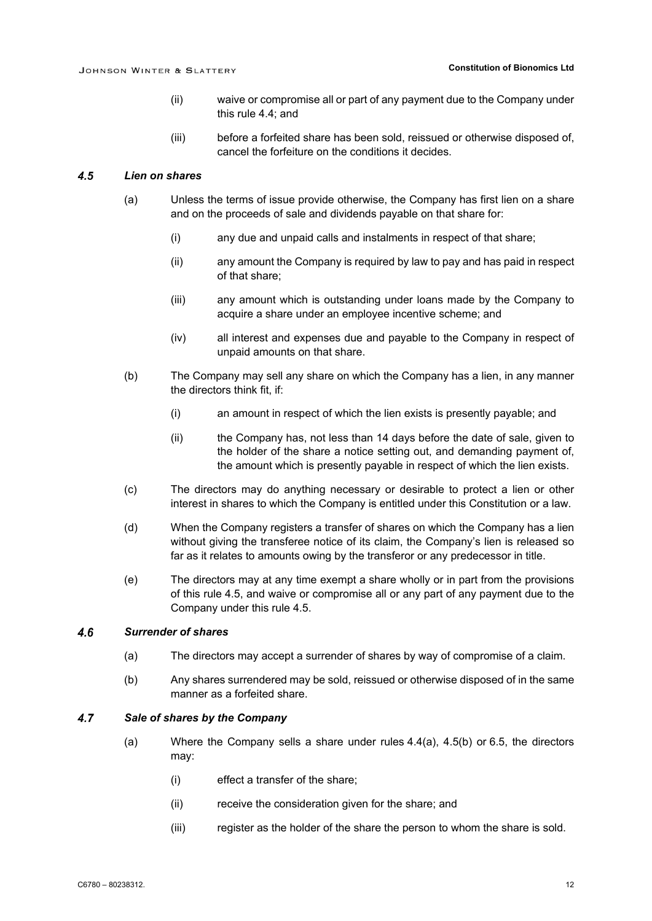- (ii) waive or compromise all or part of any payment due to the Company under this rule [4.4;](#page-14-1) and
- (iii) before a forfeited share has been sold, reissued or otherwise disposed of, cancel the forfeiture on the conditions it decides.

#### <span id="page-15-0"></span> $4.5$ *Lien on shares*

- (a) Unless the terms of issue provide otherwise, the Company has first lien on a share and on the proceeds of sale and dividends payable on that share for:
	- (i) any due and unpaid calls and instalments in respect of that share;
	- (ii) any amount the Company is required by law to pay and has paid in respect of that share;
	- (iii) any amount which is outstanding under loans made by the Company to acquire a share under an employee incentive scheme; and
	- (iv) all interest and expenses due and payable to the Company in respect of unpaid amounts on that share.
- <span id="page-15-1"></span>(b) The Company may sell any share on which the Company has a lien, in any manner the directors think fit, if:
	- (i) an amount in respect of which the lien exists is presently payable; and
	- (ii) the Company has, not less than 14 days before the date of sale, given to the holder of the share a notice setting out, and demanding payment of, the amount which is presently payable in respect of which the lien exists.
- (c) The directors may do anything necessary or desirable to protect a lien or other interest in shares to which the Company is entitled under this Constitution or a law.
- (d) When the Company registers a transfer of shares on which the Company has a lien without giving the transferee notice of its claim, the Company's lien is released so far as it relates to amounts owing by the transferor or any predecessor in title.
- (e) The directors may at any time exempt a share wholly or in part from the provisions of this rule [4.5,](#page-15-0) and waive or compromise all or any part of any payment due to the Company under this rule [4.5.](#page-15-0)

#### $4.6$ *Surrender of shares*

- (a) The directors may accept a surrender of shares by way of compromise of a claim.
- (b) Any shares surrendered may be sold, reissued or otherwise disposed of in the same manner as a forfeited share.

#### <span id="page-15-2"></span> $4.7$ *Sale of shares by the Company*

- (a) Where the Company sells a share under rules [4.4\(a\),](#page-14-2) [4.5\(b\)](#page-15-1) or [6.5,](#page-23-0) the directors may:
	- (i) effect a transfer of the share;
	- (ii) receive the consideration given for the share; and
	- (iii) register as the holder of the share the person to whom the share is sold.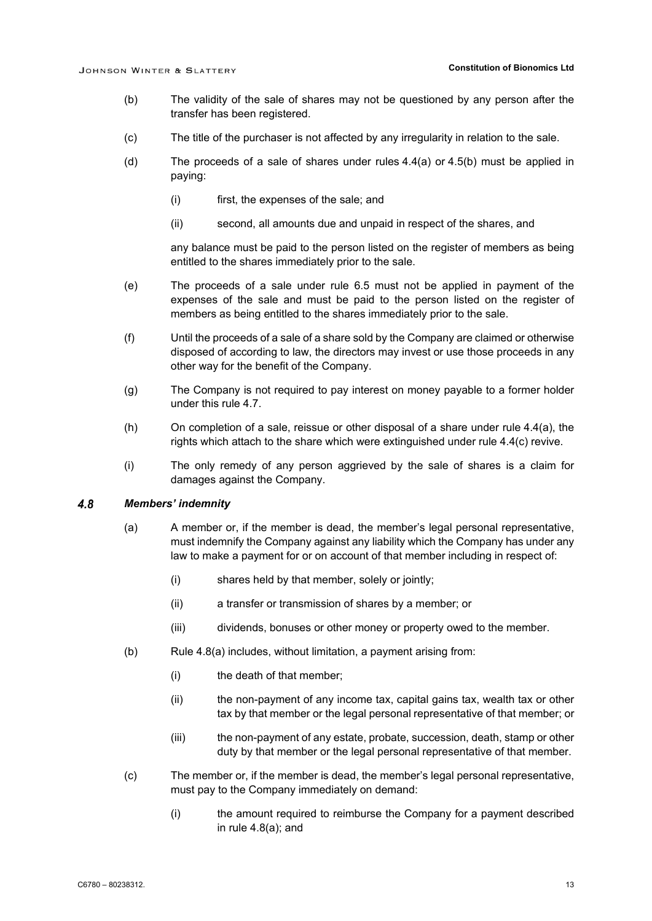- (b) The validity of the sale of shares may not be questioned by any person after the transfer has been registered.
- (c) The title of the purchaser is not affected by any irregularity in relation to the sale.
- (d) The proceeds of a sale of shares under rules [4.4\(a\)](#page-14-2) or [4.5\(b\)](#page-15-1) must be applied in paying:
	- (i) first, the expenses of the sale; and
	- (ii) second, all amounts due and unpaid in respect of the shares, and

any balance must be paid to the person listed on the register of members as being entitled to the shares immediately prior to the sale.

- (e) The proceeds of a sale under rule [6.5](#page-23-0) must not be applied in payment of the expenses of the sale and must be paid to the person listed on the register of members as being entitled to the shares immediately prior to the sale.
- (f) Until the proceeds of a sale of a share sold by the Company are claimed or otherwise disposed of according to law, the directors may invest or use those proceeds in any other way for the benefit of the Company.
- (g) The Company is not required to pay interest on money payable to a former holder under this rule [4.7.](#page-15-2)
- <span id="page-16-0"></span>(h) On completion of a sale, reissue or other disposal of a share under rule [4.4\(a\),](#page-14-2) the rights which attach to the share which were extinguished under rule [4.4\(c\)](#page-14-3) revive.
- (i) The only remedy of any person aggrieved by the sale of shares is a claim for damages against the Company.

#### <span id="page-16-2"></span><span id="page-16-1"></span> $4.8$ *Members' indemnity*

- (a) A member or, if the member is dead, the member's legal personal representative, must indemnify the Company against any liability which the Company has under any law to make a payment for or on account of that member including in respect of:
	- (i) shares held by that member, solely or jointly;
	- (ii) a transfer or transmission of shares by a member; or
	- (iii) dividends, bonuses or other money or property owed to the member.
- (b) Rule [4.8\(a\)](#page-16-1) includes, without limitation, a payment arising from:
	- (i) the death of that member;
	- (ii) the non-payment of any income tax, capital gains tax, wealth tax or other tax by that member or the legal personal representative of that member; or
	- (iii) the non-payment of any estate, probate, succession, death, stamp or other duty by that member or the legal personal representative of that member.
- (c) The member or, if the member is dead, the member's legal personal representative, must pay to the Company immediately on demand:
	- (i) the amount required to reimburse the Company for a payment described in rule [4.8\(a\);](#page-16-1) and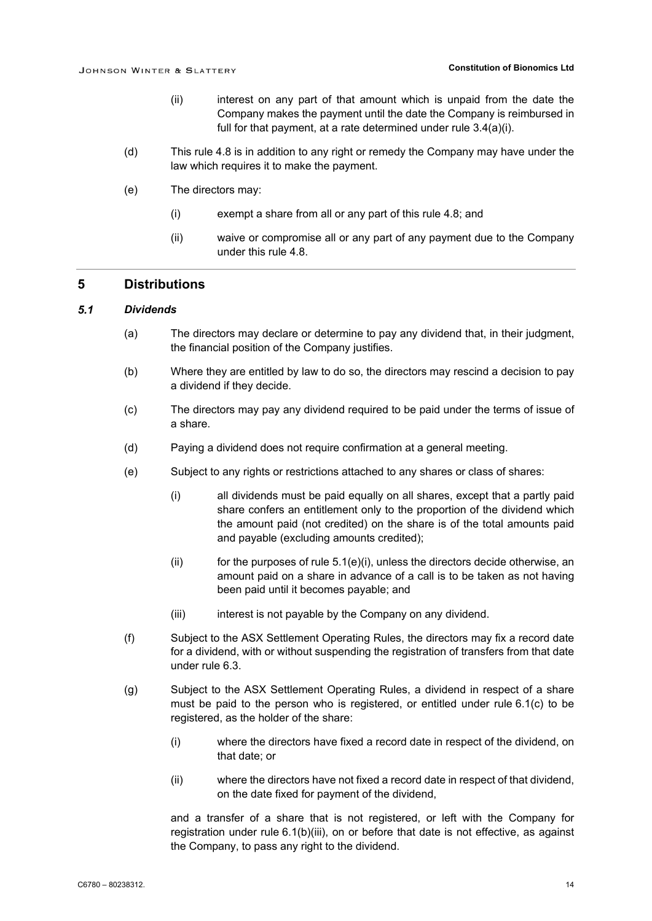- (ii) interest on any part of that amount which is unpaid from the date the Company makes the payment until the date the Company is reimbursed in full for that payment, at a rate determined under rule [3.4\(a\)\(i\).](#page-13-3)
- (d) This rule [4.8](#page-16-2) is in addition to any right or remedy the Company may have under the law which requires it to make the payment.
- (e) The directors may:
	- (i) exempt a share from all or any part of this rule [4.8;](#page-16-2) and
	- (ii) waive or compromise all or any part of any payment due to the Company under this rule [4.8.](#page-16-2)

### **5 Distributions**

#### $5.1$ *Dividends*

- (a) The directors may declare or determine to pay any dividend that, in their judgment, the financial position of the Company justifies.
- (b) Where they are entitled by law to do so, the directors may rescind a decision to pay a dividend if they decide.
- (c) The directors may pay any dividend required to be paid under the terms of issue of a share.
- (d) Paying a dividend does not require confirmation at a general meeting.
- <span id="page-17-1"></span><span id="page-17-0"></span>(e) Subject to any rights or restrictions attached to any shares or class of shares:
	- (i) all dividends must be paid equally on all shares, except that a partly paid share confers an entitlement only to the proportion of the dividend which the amount paid (not credited) on the share is of the total amounts paid and payable (excluding amounts credited);
	- $(i)$  for the purposes of rule [5.1\(e\)\(i\),](#page-17-0) unless the directors decide otherwise, an amount paid on a share in advance of a call is to be taken as not having been paid until it becomes payable; and
	- (iii) interest is not payable by the Company on any dividend.
- <span id="page-17-2"></span>(f) Subject to the ASX Settlement Operating Rules, the directors may fix a record date for a dividend, with or without suspending the registration of transfers from that date under rule [6.3.](#page-22-0)
- <span id="page-17-3"></span>(g) Subject to the ASX Settlement Operating Rules, a dividend in respect of a share must be paid to the person who is registered, or entitled under rule [6.1\(c\)](#page-22-1) to be registered, as the holder of the share:
	- (i) where the directors have fixed a record date in respect of the dividend, on that date; or
	- (ii) where the directors have not fixed a record date in respect of that dividend, on the date fixed for payment of the dividend,

and a transfer of a share that is not registered, or left with the Company for registration under rule [6.1\(b\)\(iii\),](#page-22-2) on or before that date is not effective, as against the Company, to pass any right to the dividend.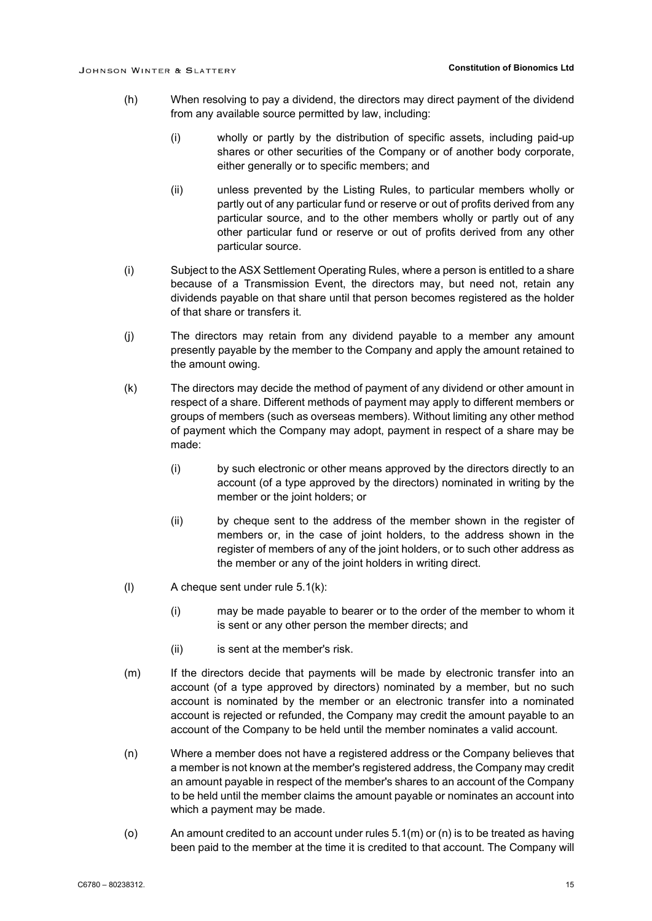- (h) When resolving to pay a dividend, the directors may direct payment of the dividend from any available source permitted by law, including:
	- (i) wholly or partly by the distribution of specific assets, including paid-up shares or other securities of the Company or of another body corporate, either generally or to specific members; and
	- (ii) unless prevented by the Listing Rules, to particular members wholly or partly out of any particular fund or reserve or out of profits derived from any particular source, and to the other members wholly or partly out of any other particular fund or reserve or out of profits derived from any other particular source.
- (i) Subject to the ASX Settlement Operating Rules, where a person is entitled to a share because of a Transmission Event, the directors may, but need not, retain any dividends payable on that share until that person becomes registered as the holder of that share or transfers it.
- (j) The directors may retain from any dividend payable to a member any amount presently payable by the member to the Company and apply the amount retained to the amount owing.
- <span id="page-18-0"></span>(k) The directors may decide the method of payment of any dividend or other amount in respect of a share. Different methods of payment may apply to different members or groups of members (such as overseas members). Without limiting any other method of payment which the Company may adopt, payment in respect of a share may be made:
	- (i) by such electronic or other means approved by the directors directly to an account (of a type approved by the directors) nominated in writing by the member or the joint holders; or
	- (ii) by cheque sent to the address of the member shown in the register of members or, in the case of joint holders, to the address shown in the register of members of any of the joint holders, or to such other address as the member or any of the joint holders in writing direct.
- (l) A cheque sent under rule [5.1\(k\):](#page-18-0)
	- (i) may be made payable to bearer or to the order of the member to whom it is sent or any other person the member directs; and
	- (ii) is sent at the member's risk.
- <span id="page-18-1"></span>(m) If the directors decide that payments will be made by electronic transfer into an account (of a type approved by directors) nominated by a member, but no such account is nominated by the member or an electronic transfer into a nominated account is rejected or refunded, the Company may credit the amount payable to an account of the Company to be held until the member nominates a valid account.
- <span id="page-18-2"></span>(n) Where a member does not have a registered address or the Company believes that a member is not known at the member's registered address, the Company may credit an amount payable in respect of the member's shares to an account of the Company to be held until the member claims the amount payable or nominates an account into which a payment may be made.
- (o) An amount credited to an account under rules  $5.1(m)$  or  $(n)$  is to be treated as having been paid to the member at the time it is credited to that account. The Company will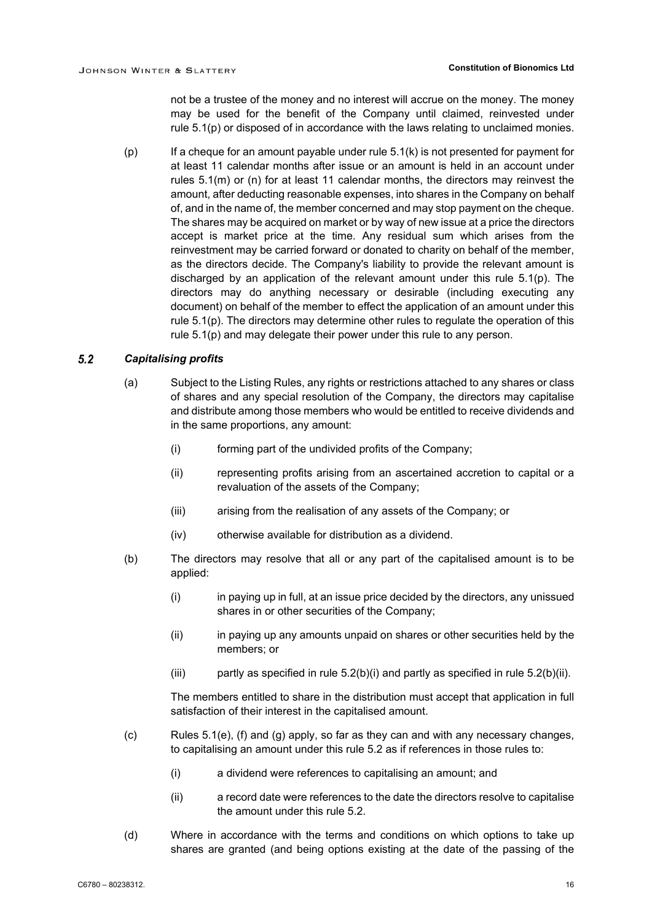not be a trustee of the money and no interest will accrue on the money. The money may be used for the benefit of the Company until claimed, reinvested under rule [5.1\(p\)](#page-19-0) or disposed of in accordance with the laws relating to unclaimed monies.

<span id="page-19-0"></span>(p) If a cheque for an amount payable under rule [5.1\(k\)](#page-18-0) is not presented for payment for at least 11 calendar months after issue or an amount is held in an account under rules [5.1\(m\)](#page-18-1) or [\(n\)](#page-18-2) for at least 11 calendar months, the directors may reinvest the amount, after deducting reasonable expenses, into shares in the Company on behalf of, and in the name of, the member concerned and may stop payment on the cheque. The shares may be acquired on market or by way of new issue at a price the directors accept is market price at the time. Any residual sum which arises from the reinvestment may be carried forward or donated to charity on behalf of the member, as the directors decide. The Company's liability to provide the relevant amount is discharged by an application of the relevant amount under this rule [5.1\(p\).](#page-19-0) The directors may do anything necessary or desirable (including executing any document) on behalf of the member to effect the application of an amount under this rule [5.1\(p\).](#page-19-0) The directors may determine other rules to regulate the operation of this rule [5.1\(p\)](#page-19-0) and may delegate their power under this rule to any person.

#### <span id="page-19-3"></span> $5.2$ *Capitalising profits*

- (a) Subject to the Listing Rules, any rights or restrictions attached to any shares or class of shares and any special resolution of the Company, the directors may capitalise and distribute among those members who would be entitled to receive dividends and in the same proportions, any amount:
	- (i) forming part of the undivided profits of the Company;
	- (ii) representing profits arising from an ascertained accretion to capital or a revaluation of the assets of the Company;
	- (iii) arising from the realisation of any assets of the Company; or
	- (iv) otherwise available for distribution as a dividend.
- <span id="page-19-4"></span><span id="page-19-2"></span><span id="page-19-1"></span>(b) The directors may resolve that all or any part of the capitalised amount is to be applied:
	- (i) in paying up in full, at an issue price decided by the directors, any unissued shares in or other securities of the Company;
	- (ii) in paying up any amounts unpaid on shares or other securities held by the members; or
	- (iii) partly as specified in rule  $5.2(b)(i)$  and partly as specified in rule  $5.2(b)(ii)$ .

The members entitled to share in the distribution must accept that application in full satisfaction of their interest in the capitalised amount.

- (c) Rules [5.1\(e\),](#page-17-1) [\(f\)](#page-17-2) and [\(g\)](#page-17-3) apply, so far as they can and with any necessary changes, to capitalising an amount under this rule [5.2](#page-19-3) as if references in those rules to:
	- (i) a dividend were references to capitalising an amount; and
	- (ii) a record date were references to the date the directors resolve to capitalise the amount under this rule [5.2.](#page-19-3)
- (d) Where in accordance with the terms and conditions on which options to take up shares are granted (and being options existing at the date of the passing of the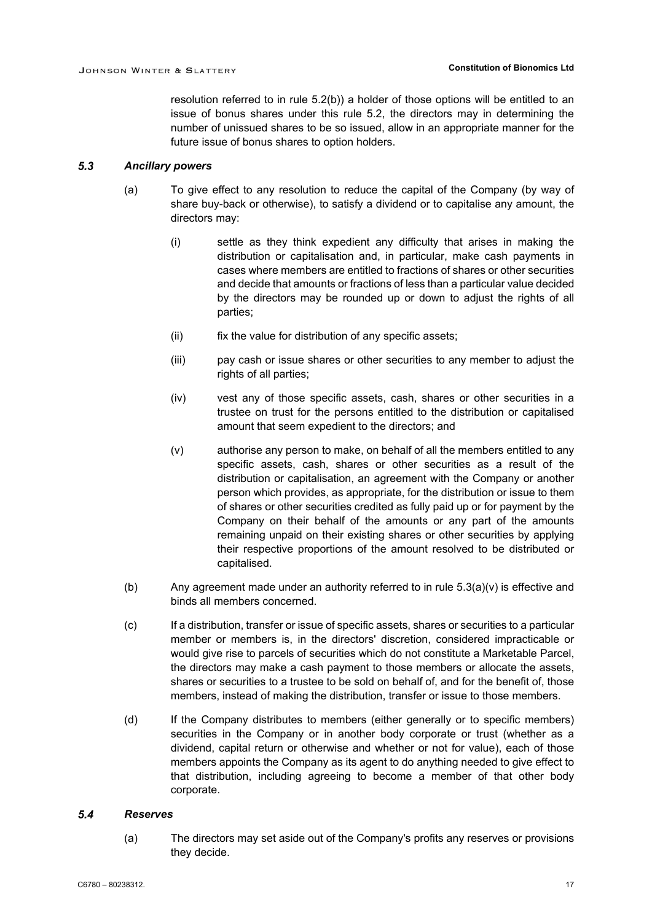resolution referred to in rule [5.2\(b\)\)](#page-19-4) a holder of those options will be entitled to an issue of bonus shares under this rule [5.2,](#page-19-3) the directors may in determining the number of unissued shares to be so issued, allow in an appropriate manner for the future issue of bonus shares to option holders.

#### <span id="page-20-1"></span> $5.3$ *Ancillary powers*

- (a) To give effect to any resolution to reduce the capital of the Company (by way of share buy-back or otherwise), to satisfy a dividend or to capitalise any amount, the directors may:
	- (i) settle as they think expedient any difficulty that arises in making the distribution or capitalisation and, in particular, make cash payments in cases where members are entitled to fractions of shares or other securities and decide that amounts or fractions of less than a particular value decided by the directors may be rounded up or down to adjust the rights of all parties;
	- (ii) fix the value for distribution of any specific assets;
	- (iii) pay cash or issue shares or other securities to any member to adjust the rights of all parties;
	- (iv) vest any of those specific assets, cash, shares or other securities in a trustee on trust for the persons entitled to the distribution or capitalised amount that seem expedient to the directors; and
	- (v) authorise any person to make, on behalf of all the members entitled to any specific assets, cash, shares or other securities as a result of the distribution or capitalisation, an agreement with the Company or another person which provides, as appropriate, for the distribution or issue to them of shares or other securities credited as fully paid up or for payment by the Company on their behalf of the amounts or any part of the amounts remaining unpaid on their existing shares or other securities by applying their respective proportions of the amount resolved to be distributed or capitalised.
- <span id="page-20-0"></span>(b) Any agreement made under an authority referred to in rule  $5.3(a)(v)$  is effective and binds all members concerned.
- (c) If a distribution, transfer or issue of specific assets, shares or securities to a particular member or members is, in the directors' discretion, considered impracticable or would give rise to parcels of securities which do not constitute a Marketable Parcel, the directors may make a cash payment to those members or allocate the assets, shares or securities to a trustee to be sold on behalf of, and for the benefit of, those members, instead of making the distribution, transfer or issue to those members.
- (d) If the Company distributes to members (either generally or to specific members) securities in the Company or in another body corporate or trust (whether as a dividend, capital return or otherwise and whether or not for value), each of those members appoints the Company as its agent to do anything needed to give effect to that distribution, including agreeing to become a member of that other body corporate.

#### $5.4$ *Reserves*

(a) The directors may set aside out of the Company's profits any reserves or provisions they decide.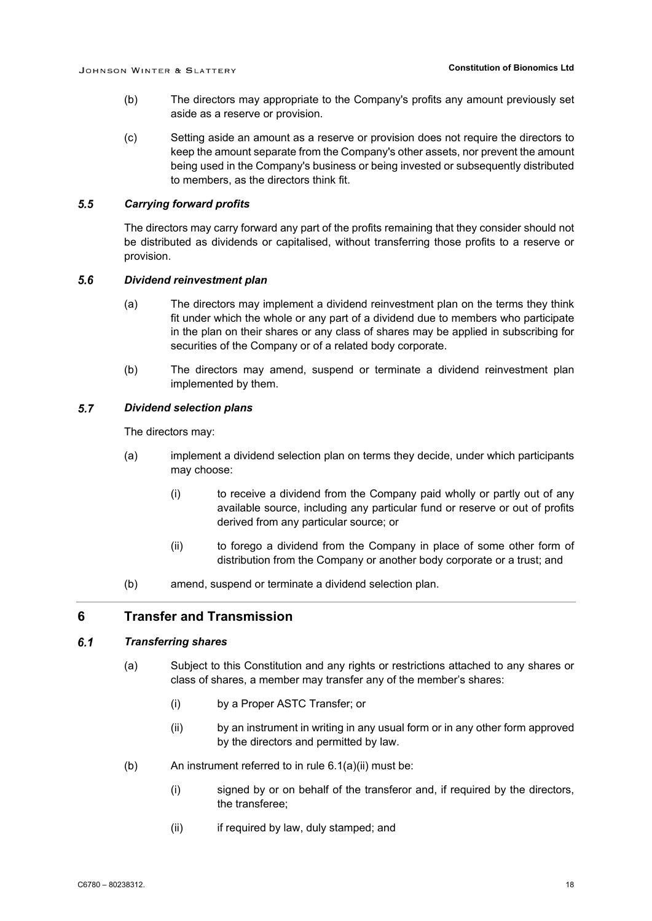- (b) The directors may appropriate to the Company's profits any amount previously set aside as a reserve or provision.
- (c) Setting aside an amount as a reserve or provision does not require the directors to keep the amount separate from the Company's other assets, nor prevent the amount being used in the Company's business or being invested or subsequently distributed to members, as the directors think fit.

#### $5.5$ *Carrying forward profits*

The directors may carry forward any part of the profits remaining that they consider should not be distributed as dividends or capitalised, without transferring those profits to a reserve or provision.

#### $5.6$ *Dividend reinvestment plan*

- (a) The directors may implement a dividend reinvestment plan on the terms they think fit under which the whole or any part of a dividend due to members who participate in the plan on their shares or any class of shares may be applied in subscribing for securities of the Company or of a related body corporate.
- (b) The directors may amend, suspend or terminate a dividend reinvestment plan implemented by them.

#### $5.7$ *Dividend selection plans*

The directors may:

- (a) implement a dividend selection plan on terms they decide, under which participants may choose:
	- (i) to receive a dividend from the Company paid wholly or partly out of any available source, including any particular fund or reserve or out of profits derived from any particular source; or
	- (ii) to forego a dividend from the Company in place of some other form of distribution from the Company or another body corporate or a trust; and
- (b) amend, suspend or terminate a dividend selection plan.

### **6 Transfer and Transmission**

#### <span id="page-21-2"></span> $6.1$ *Transferring shares*

- (a) Subject to this Constitution and any rights or restrictions attached to any shares or class of shares, a member may transfer any of the member's shares:
	- (i) by a Proper ASTC Transfer; or
	- (ii) by an instrument in writing in any usual form or in any other form approved by the directors and permitted by law.
- <span id="page-21-1"></span><span id="page-21-0"></span>(b) An instrument referred to in rule  $6.1(a)(ii)$  must be:
	- (i) signed by or on behalf of the transferor and, if required by the directors, the transferee;
	- (ii) if required by law, duly stamped; and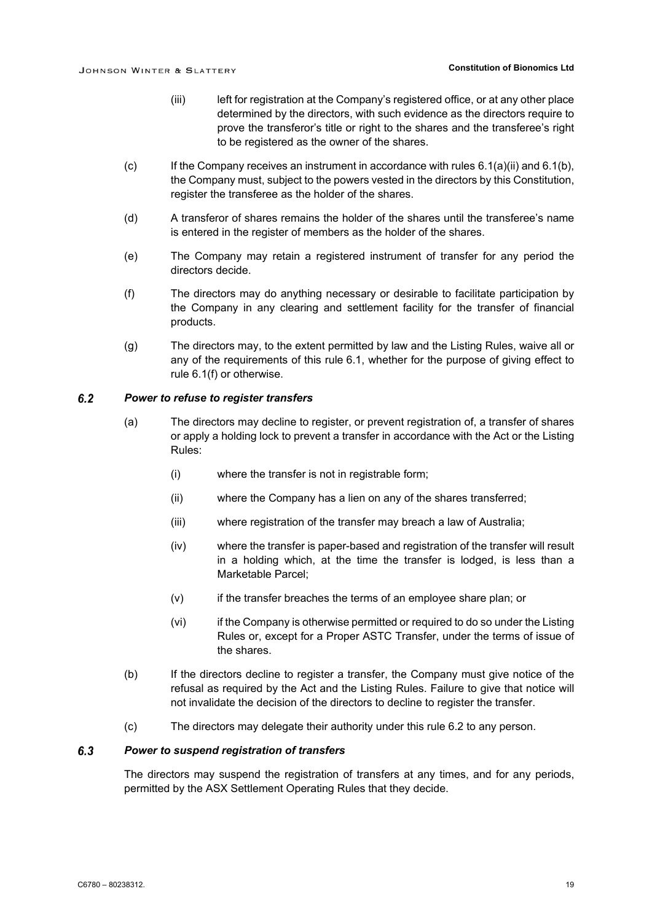- (iii) left for registration at the Company's registered office, or at any other place determined by the directors, with such evidence as the directors require to prove the transferor's title or right to the shares and the transferee's right to be registered as the owner of the shares.
- <span id="page-22-2"></span><span id="page-22-1"></span> $(c)$  If the Company receives an instrument in accordance with rules [6.1\(a\)\(ii\)](#page-21-0) an[d 6.1\(b\),](#page-21-1) the Company must, subject to the powers vested in the directors by this Constitution, register the transferee as the holder of the shares.
- (d) A transferor of shares remains the holder of the shares until the transferee's name is entered in the register of members as the holder of the shares.
- (e) The Company may retain a registered instrument of transfer for any period the directors decide.
- <span id="page-22-3"></span>(f) The directors may do anything necessary or desirable to facilitate participation by the Company in any clearing and settlement facility for the transfer of financial products.
- (g) The directors may, to the extent permitted by law and the Listing Rules, waive all or any of the requirements of this rule [6.1,](#page-21-2) whether for the purpose of giving effect to rule [6.1\(f\)](#page-22-3) or otherwise.

#### <span id="page-22-4"></span> $6.2$ *Power to refuse to register transfers*

- (a) The directors may decline to register, or prevent registration of, a transfer of shares or apply a holding lock to prevent a transfer in accordance with the Act or the Listing Rules:
	- (i) where the transfer is not in registrable form;
	- (ii) where the Company has a lien on any of the shares transferred;
	- (iii) where registration of the transfer may breach a law of Australia;
	- (iv) where the transfer is paper-based and registration of the transfer will result in a holding which, at the time the transfer is lodged, is less than a Marketable Parcel;
	- (v) if the transfer breaches the terms of an employee share plan; or
	- (vi) if the Company is otherwise permitted or required to do so under the Listing Rules or, except for a Proper ASTC Transfer, under the terms of issue of the shares.
- (b) If the directors decline to register a transfer, the Company must give notice of the refusal as required by the Act and the Listing Rules. Failure to give that notice will not invalidate the decision of the directors to decline to register the transfer.
- (c) The directors may delegate their authority under this rule [6.2](#page-22-4) to any person.

#### <span id="page-22-0"></span> $6.3$ *Power to suspend registration of transfers*

The directors may suspend the registration of transfers at any times, and for any periods, permitted by the ASX Settlement Operating Rules that they decide.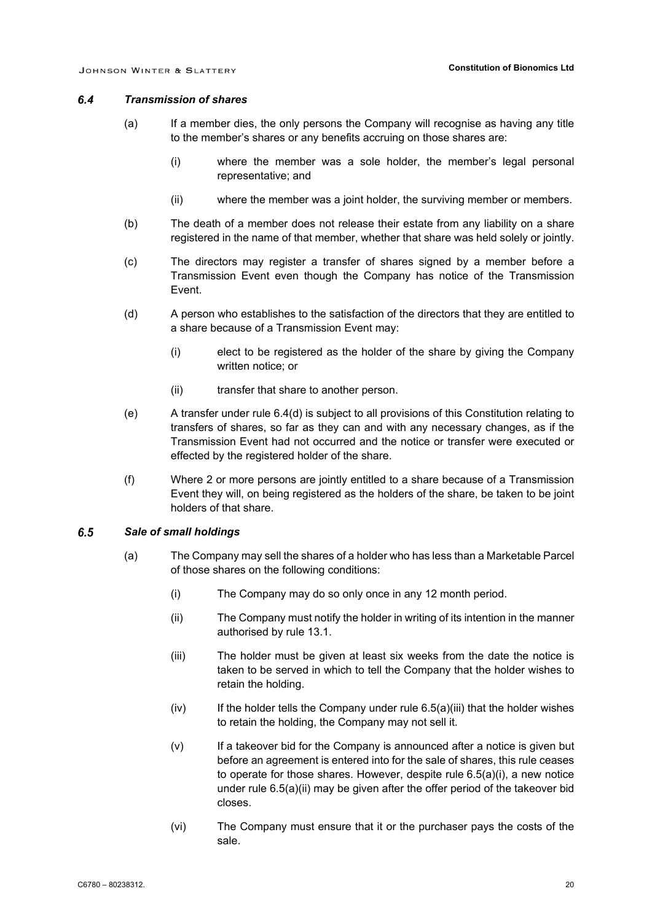#### $6.4$ *Transmission of shares*

- (a) If a member dies, the only persons the Company will recognise as having any title to the member's shares or any benefits accruing on those shares are:
	- (i) where the member was a sole holder, the member's legal personal representative; and
	- (ii) where the member was a joint holder, the surviving member or members.
- (b) The death of a member does not release their estate from any liability on a share registered in the name of that member, whether that share was held solely or jointly.
- (c) The directors may register a transfer of shares signed by a member before a Transmission Event even though the Company has notice of the Transmission Event.
- <span id="page-23-1"></span>(d) A person who establishes to the satisfaction of the directors that they are entitled to a share because of a Transmission Event may:
	- (i) elect to be registered as the holder of the share by giving the Company written notice; or
	- (ii) transfer that share to another person.
- (e) A transfer under rule [6.4\(d\)](#page-23-1) is subject to all provisions of this Constitution relating to transfers of shares, so far as they can and with any necessary changes, as if the Transmission Event had not occurred and the notice or transfer were executed or effected by the registered holder of the share.
- (f) Where 2 or more persons are jointly entitled to a share because of a Transmission Event they will, on being registered as the holders of the share, be taken to be joint holders of that share.

#### <span id="page-23-5"></span><span id="page-23-3"></span><span id="page-23-0"></span> $6.5$ *Sale of small holdings*

- <span id="page-23-4"></span><span id="page-23-2"></span>(a) The Company may sell the shares of a holder who has less than a Marketable Parcel of those shares on the following conditions:
	- (i) The Company may do so only once in any 12 month period.
	- (ii) The Company must notify the holder in writing of its intention in the manner authorised by rule [13.1.](#page-44-0)
	- (iii) The holder must be given at least six weeks from the date the notice is taken to be served in which to tell the Company that the holder wishes to retain the holding.
	- $(iv)$  If the holder tells the Company under rule  $6.5(a)$ (iii) that the holder wishes to retain the holding, the Company may not sell it.
	- (v) If a takeover bid for the Company is announced after a notice is given but before an agreement is entered into for the sale of shares, this rule ceases to operate for those shares. However, despite rule [6.5\(a\)\(i\),](#page-23-3) a new notice under rule [6.5\(a\)\(ii\)](#page-23-4) may be given after the offer period of the takeover bid closes.
	- (vi) The Company must ensure that it or the purchaser pays the costs of the sale.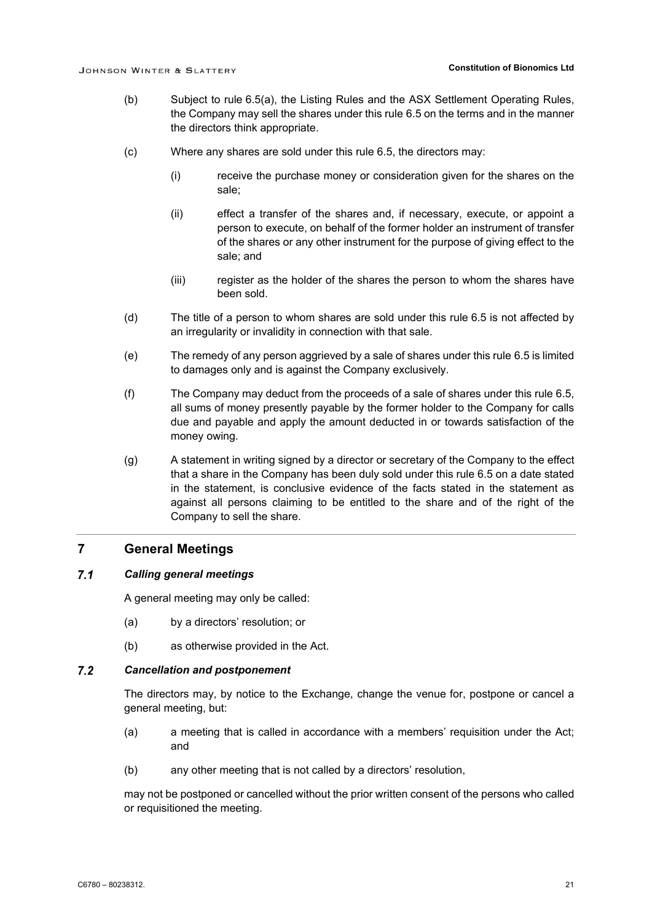- (b) Subject to rule [6.5\(a\),](#page-23-5) the Listing Rules and the ASX Settlement Operating Rules, the Company may sell the shares under this rule [6.5](#page-23-0) on the terms and in the manner the directors think appropriate.
- (c) Where any shares are sold under this rule [6.5,](#page-23-0) the directors may:
	- (i) receive the purchase money or consideration given for the shares on the sale;
	- (ii) effect a transfer of the shares and, if necessary, execute, or appoint a person to execute, on behalf of the former holder an instrument of transfer of the shares or any other instrument for the purpose of giving effect to the sale; and
	- (iii) register as the holder of the shares the person to whom the shares have been sold.
- (d) The title of a person to whom shares are sold under this rule [6.5](#page-23-0) is not affected by an irregularity or invalidity in connection with that sale.
- (e) The remedy of any person aggrieved by a sale of shares under this rule [6.5](#page-23-0) is limited to damages only and is against the Company exclusively.
- (f) The Company may deduct from the proceeds of a sale of shares under this rule [6.5,](#page-23-0) all sums of money presently payable by the former holder to the Company for calls due and payable and apply the amount deducted in or towards satisfaction of the money owing.
- (g) A statement in writing signed by a director or secretary of the Company to the effect that a share in the Company has been duly sold under this rule [6.5](#page-23-0) on a date stated in the statement, is conclusive evidence of the facts stated in the statement as against all persons claiming to be entitled to the share and of the right of the Company to sell the share.

### **7 General Meetings**

#### $7.1$ *Calling general meetings*

A general meeting may only be called:

- (a) by a directors' resolution; or
- (b) as otherwise provided in the Act.

#### $7.2$ *Cancellation and postponement*

The directors may, by notice to the Exchange, change the venue for, postpone or cancel a general meeting, but:

- (a) a meeting that is called in accordance with a members' requisition under the Act; and
- (b) any other meeting that is not called by a directors' resolution,

may not be postponed or cancelled without the prior written consent of the persons who called or requisitioned the meeting.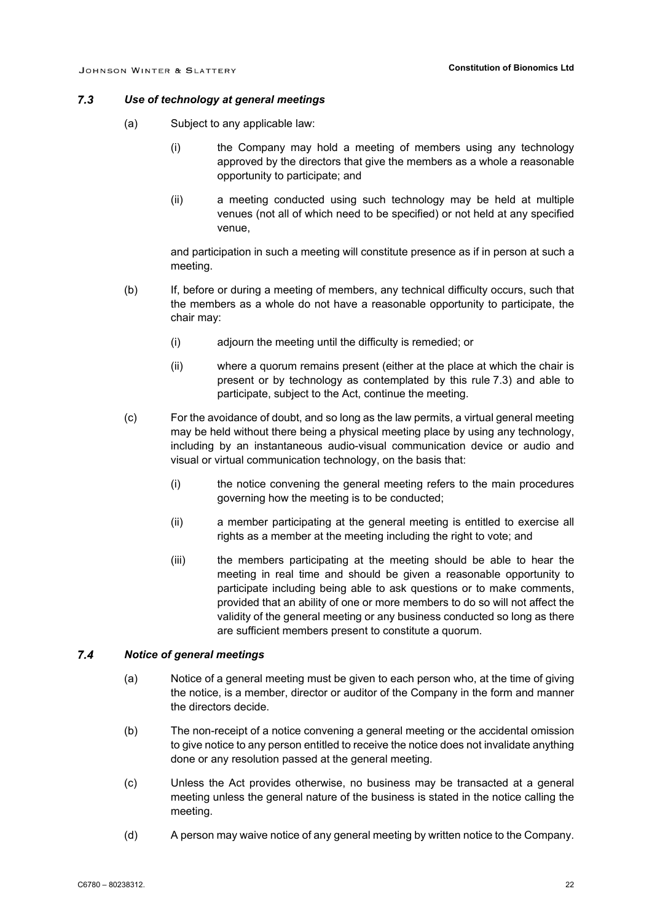#### <span id="page-25-0"></span> $7.3$ *Use of technology at general meetings*

- (a) Subject to any applicable law:
	- (i) the Company may hold a meeting of members using any technology approved by the directors that give the members as a whole a reasonable opportunity to participate; and
	- (ii) a meeting conducted using such technology may be held at multiple venues (not all of which need to be specified) or not held at any specified venue,

and participation in such a meeting will constitute presence as if in person at such a meeting.

- (b) If, before or during a meeting of members, any technical difficulty occurs, such that the members as a whole do not have a reasonable opportunity to participate, the chair may:
	- (i) adjourn the meeting until the difficulty is remedied; or
	- (ii) where a quorum remains present (either at the place at which the chair is present or by technology as contemplated by this rule [7.3\)](#page-25-0) and able to participate, subject to the Act, continue the meeting.
- (c) For the avoidance of doubt, and so long as the law permits, a virtual general meeting may be held without there being a physical meeting place by using any technology, including by an instantaneous audio-visual communication device or audio and visual or virtual communication technology, on the basis that:
	- (i) the notice convening the general meeting refers to the main procedures governing how the meeting is to be conducted;
	- (ii) a member participating at the general meeting is entitled to exercise all rights as a member at the meeting including the right to vote; and
	- (iii) the members participating at the meeting should be able to hear the meeting in real time and should be given a reasonable opportunity to participate including being able to ask questions or to make comments, provided that an ability of one or more members to do so will not affect the validity of the general meeting or any business conducted so long as there are sufficient members present to constitute a quorum.

#### $74$ *Notice of general meetings*

- (a) Notice of a general meeting must be given to each person who, at the time of giving the notice, is a member, director or auditor of the Company in the form and manner the directors decide.
- (b) The non-receipt of a notice convening a general meeting or the accidental omission to give notice to any person entitled to receive the notice does not invalidate anything done or any resolution passed at the general meeting.
- (c) Unless the Act provides otherwise, no business may be transacted at a general meeting unless the general nature of the business is stated in the notice calling the meeting.
- (d) A person may waive notice of any general meeting by written notice to the Company.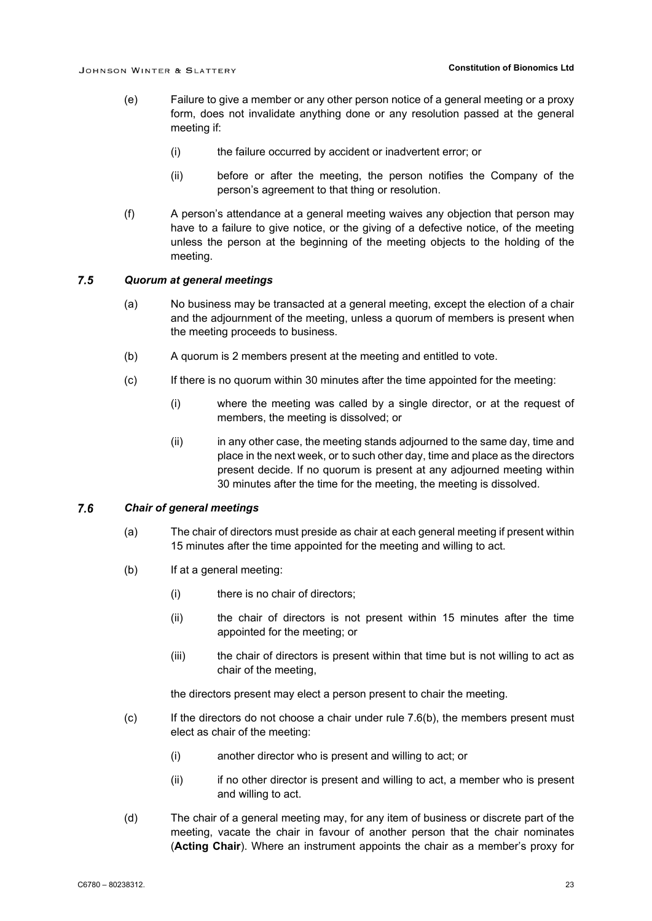- (e) Failure to give a member or any other person notice of a general meeting or a proxy form, does not invalidate anything done or any resolution passed at the general meeting if:
	- (i) the failure occurred by accident or inadvertent error; or
	- (ii) before or after the meeting, the person notifies the Company of the person's agreement to that thing or resolution.
- (f) A person's attendance at a general meeting waives any objection that person may have to a failure to give notice, or the giving of a defective notice, of the meeting unless the person at the beginning of the meeting objects to the holding of the meeting.

#### $7.5$ *Quorum at general meetings*

- (a) No business may be transacted at a general meeting, except the election of a chair and the adjournment of the meeting, unless a quorum of members is present when the meeting proceeds to business.
- (b) A quorum is 2 members present at the meeting and entitled to vote.
- (c) If there is no quorum within 30 minutes after the time appointed for the meeting:
	- (i) where the meeting was called by a single director, or at the request of members, the meeting is dissolved; or
	- (ii) in any other case, the meeting stands adjourned to the same day, time and place in the next week, or to such other day, time and place as the directors present decide. If no quorum is present at any adjourned meeting within 30 minutes after the time for the meeting, the meeting is dissolved.

#### $7.6$ *Chair of general meetings*

- (a) The chair of directors must preside as chair at each general meeting if present within 15 minutes after the time appointed for the meeting and willing to act.
- <span id="page-26-0"></span>(b) If at a general meeting:
	- (i) there is no chair of directors;
	- (ii) the chair of directors is not present within 15 minutes after the time appointed for the meeting; or
	- (iii) the chair of directors is present within that time but is not willing to act as chair of the meeting,

the directors present may elect a person present to chair the meeting.

- $(c)$  If the directors do not choose a chair under rule [7.6\(b\),](#page-26-0) the members present must elect as chair of the meeting:
	- (i) another director who is present and willing to act; or
	- (ii) if no other director is present and willing to act, a member who is present and willing to act.
- (d) The chair of a general meeting may, for any item of business or discrete part of the meeting, vacate the chair in favour of another person that the chair nominates (**Acting Chair**). Where an instrument appoints the chair as a member's proxy for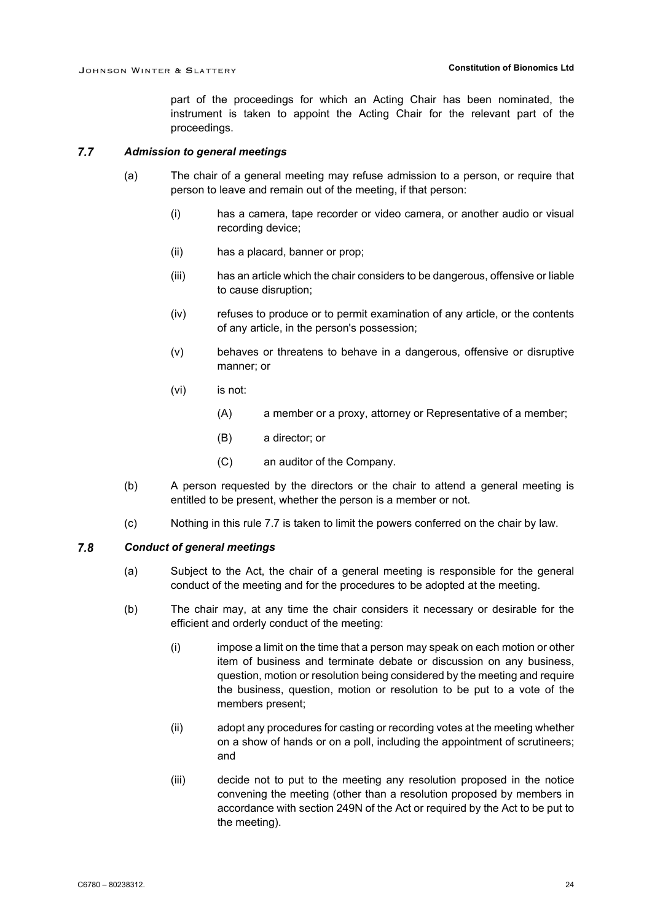part of the proceedings for which an Acting Chair has been nominated, the instrument is taken to appoint the Acting Chair for the relevant part of the proceedings.

#### <span id="page-27-0"></span> $7.7$ *Admission to general meetings*

- (a) The chair of a general meeting may refuse admission to a person, or require that person to leave and remain out of the meeting, if that person:
	- (i) has a camera, tape recorder or video camera, or another audio or visual recording device;
	- (ii) has a placard, banner or prop;
	- (iii) has an article which the chair considers to be dangerous, offensive or liable to cause disruption;
	- (iv) refuses to produce or to permit examination of any article, or the contents of any article, in the person's possession;
	- (v) behaves or threatens to behave in a dangerous, offensive or disruptive manner; or
	- (vi) is not:
		- (A) a member or a proxy, attorney or Representative of a member;
		- (B) a director; or
		- (C) an auditor of the Company.
- (b) A person requested by the directors or the chair to attend a general meeting is entitled to be present, whether the person is a member or not.
- (c) Nothing in this rule [7.7](#page-27-0) is taken to limit the powers conferred on the chair by law.

#### <span id="page-27-3"></span><span id="page-27-1"></span> $7.8$ *Conduct of general meetings*

- (a) Subject to the Act, the chair of a general meeting is responsible for the general conduct of the meeting and for the procedures to be adopted at the meeting.
- <span id="page-27-2"></span>(b) The chair may, at any time the chair considers it necessary or desirable for the efficient and orderly conduct of the meeting:
	- (i) impose a limit on the time that a person may speak on each motion or other item of business and terminate debate or discussion on any business, question, motion or resolution being considered by the meeting and require the business, question, motion or resolution to be put to a vote of the members present;
	- (ii) adopt any procedures for casting or recording votes at the meeting whether on a show of hands or on a poll, including the appointment of scrutineers; and
	- (iii) decide not to put to the meeting any resolution proposed in the notice convening the meeting (other than a resolution proposed by members in accordance with section 249N of the Act or required by the Act to be put to the meeting).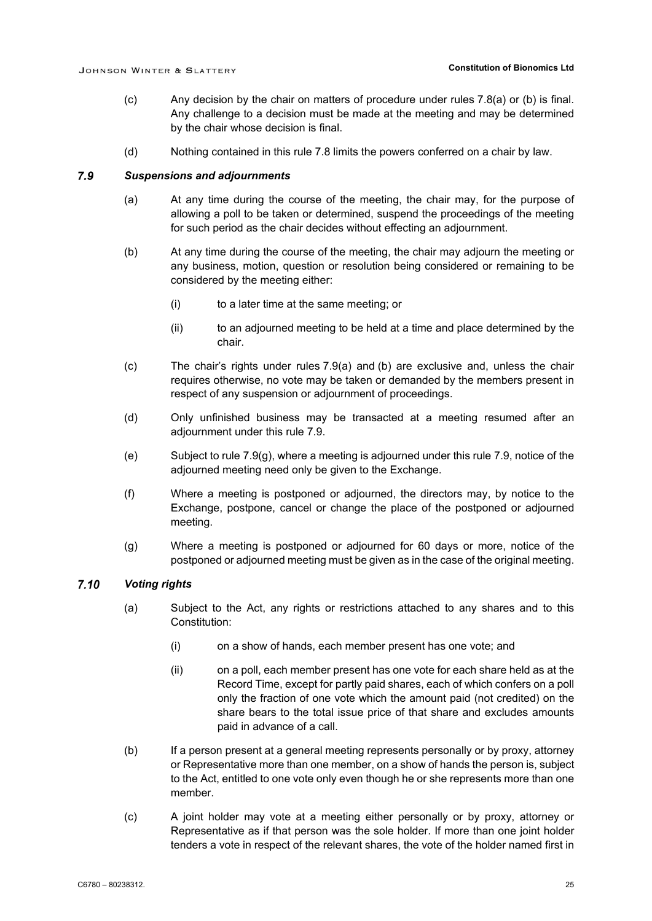- (c) Any decision by the chair on matters of procedure under rules [7.8\(a\)](#page-27-1) or [\(b\)](#page-27-2) is final. Any challenge to a decision must be made at the meeting and may be determined by the chair whose decision is final.
- (d) Nothing contained in this rule [7.8](#page-27-3) limits the powers conferred on a chair by law.

#### <span id="page-28-2"></span><span id="page-28-0"></span> $7.9$ *Suspensions and adjournments*

- (a) At any time during the course of the meeting, the chair may, for the purpose of allowing a poll to be taken or determined, suspend the proceedings of the meeting for such period as the chair decides without effecting an adjournment.
- <span id="page-28-1"></span>(b) At any time during the course of the meeting, the chair may adjourn the meeting or any business, motion, question or resolution being considered or remaining to be considered by the meeting either:
	- (i) to a later time at the same meeting; or
	- (ii) to an adjourned meeting to be held at a time and place determined by the chair.
- (c) The chair's rights under rules [7.9\(a\)](#page-28-0) and [\(b\)](#page-28-1) are exclusive and, unless the chair requires otherwise, no vote may be taken or demanded by the members present in respect of any suspension or adjournment of proceedings.
- (d) Only unfinished business may be transacted at a meeting resumed after an adjournment under this rule [7.9.](#page-28-2)
- (e) Subject to rule [7.9\(g\),](#page-28-3) where a meeting is adjourned under this rule [7.9,](#page-28-2) notice of the adjourned meeting need only be given to the Exchange.
- (f) Where a meeting is postponed or adjourned, the directors may, by notice to the Exchange, postpone, cancel or change the place of the postponed or adjourned meeting.
- (g) Where a meeting is postponed or adjourned for 60 days or more, notice of the postponed or adjourned meeting must be given as in the case of the original meeting.

#### <span id="page-28-3"></span> $7.10$ *Voting rights*

- (a) Subject to the Act, any rights or restrictions attached to any shares and to this Constitution:
	- (i) on a show of hands, each member present has one vote; and
	- (ii) on a poll, each member present has one vote for each share held as at the Record Time, except for partly paid shares, each of which confers on a poll only the fraction of one vote which the amount paid (not credited) on the share bears to the total issue price of that share and excludes amounts paid in advance of a call.
- (b) If a person present at a general meeting represents personally or by proxy, attorney or Representative more than one member, on a show of hands the person is, subject to the Act, entitled to one vote only even though he or she represents more than one member.
- (c) A joint holder may vote at a meeting either personally or by proxy, attorney or Representative as if that person was the sole holder. If more than one joint holder tenders a vote in respect of the relevant shares, the vote of the holder named first in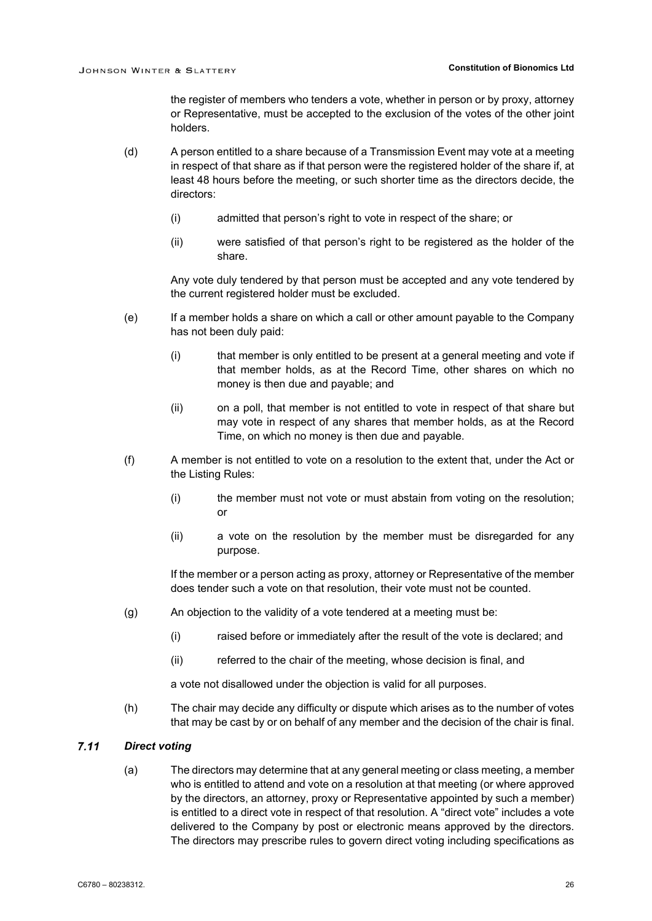the register of members who tenders a vote, whether in person or by proxy, attorney or Representative, must be accepted to the exclusion of the votes of the other joint holders.

- (d) A person entitled to a share because of a Transmission Event may vote at a meeting in respect of that share as if that person were the registered holder of the share if, at least 48 hours before the meeting, or such shorter time as the directors decide, the directors:
	- (i) admitted that person's right to vote in respect of the share; or
	- (ii) were satisfied of that person's right to be registered as the holder of the share.

Any vote duly tendered by that person must be accepted and any vote tendered by the current registered holder must be excluded.

- (e) If a member holds a share on which a call or other amount payable to the Company has not been duly paid:
	- (i) that member is only entitled to be present at a general meeting and vote if that member holds, as at the Record Time, other shares on which no money is then due and payable; and
	- (ii) on a poll, that member is not entitled to vote in respect of that share but may vote in respect of any shares that member holds, as at the Record Time, on which no money is then due and payable.
- (f) A member is not entitled to vote on a resolution to the extent that, under the Act or the Listing Rules:
	- (i) the member must not vote or must abstain from voting on the resolution;  $\alpha$ r
	- (ii) a vote on the resolution by the member must be disregarded for any purpose.

If the member or a person acting as proxy, attorney or Representative of the member does tender such a vote on that resolution, their vote must not be counted.

- (g) An objection to the validity of a vote tendered at a meeting must be:
	- (i) raised before or immediately after the result of the vote is declared; and
	- (ii) referred to the chair of the meeting, whose decision is final, and

a vote not disallowed under the objection is valid for all purposes.

(h) The chair may decide any difficulty or dispute which arises as to the number of votes that may be cast by or on behalf of any member and the decision of the chair is final.

#### <span id="page-29-1"></span><span id="page-29-0"></span> $7.11$ *Direct voting*

(a) The directors may determine that at any general meeting or class meeting, a member who is entitled to attend and vote on a resolution at that meeting (or where approved by the directors, an attorney, proxy or Representative appointed by such a member) is entitled to a direct vote in respect of that resolution. A "direct vote" includes a vote delivered to the Company by post or electronic means approved by the directors. The directors may prescribe rules to govern direct voting including specifications as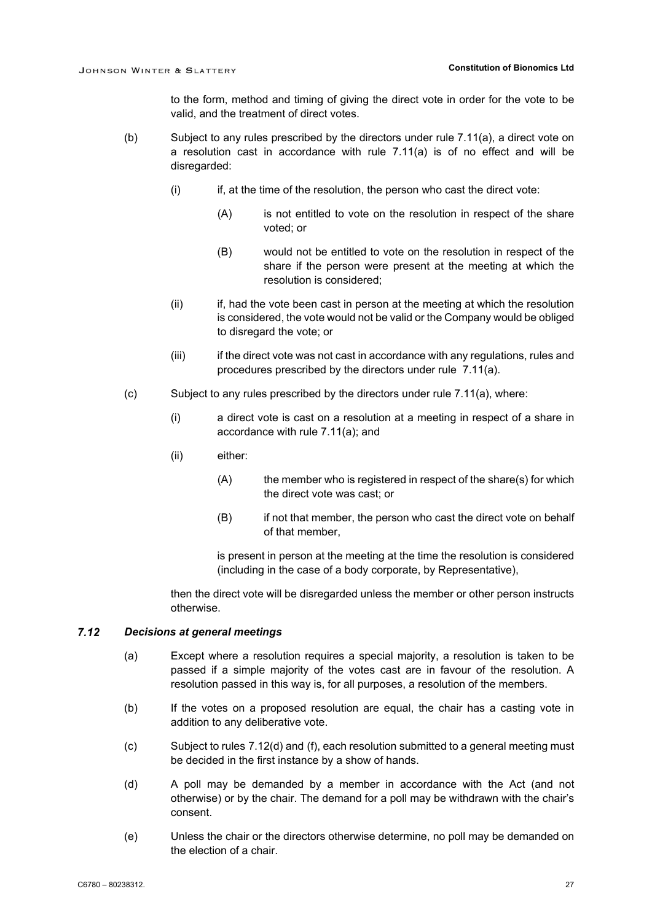to the form, method and timing of giving the direct vote in order for the vote to be valid, and the treatment of direct votes.

- (b) Subject to any rules prescribed by the directors under rule [7.11\(a\),](#page-29-1) a direct vote on a resolution cast in accordance with rule [7.11\(a\)](#page-29-1) is of no effect and will be disregarded:
	- (i) if, at the time of the resolution, the person who cast the direct vote:
		- (A) is not entitled to vote on the resolution in respect of the share voted; or
		- (B) would not be entitled to vote on the resolution in respect of the share if the person were present at the meeting at which the resolution is considered;
	- (ii) if, had the vote been cast in person at the meeting at which the resolution is considered, the vote would not be valid or the Company would be obliged to disregard the vote; or
	- (iii) if the direct vote was not cast in accordance with any regulations, rules and procedures prescribed by the directors under rule [7.11\(a\).](#page-29-1)
- (c) Subject to any rules prescribed by the directors under rule [7.11\(a\),](#page-29-1) where:
	- (i) a direct vote is cast on a resolution at a meeting in respect of a share in accordance with rule [7.11\(a\);](#page-29-1) and
	- (ii) either:
		- (A) the member who is registered in respect of the share(s) for which the direct vote was cast; or
		- (B) if not that member, the person who cast the direct vote on behalf of that member,

is present in person at the meeting at the time the resolution is considered (including in the case of a body corporate, by Representative),

then the direct vote will be disregarded unless the member or other person instructs otherwise.

#### $7.12$ *Decisions at general meetings*

- (a) Except where a resolution requires a special majority, a resolution is taken to be passed if a simple majority of the votes cast are in favour of the resolution. A resolution passed in this way is, for all purposes, a resolution of the members.
- (b) If the votes on a proposed resolution are equal, the chair has a casting vote in addition to any deliberative vote.
- (c) Subject to rules [7.12\(d\)](#page-30-0) and [\(f\),](#page-31-0) each resolution submitted to a general meeting must be decided in the first instance by a show of hands.
- <span id="page-30-0"></span>(d) A poll may be demanded by a member in accordance with the Act (and not otherwise) or by the chair. The demand for a poll may be withdrawn with the chair's consent.
- (e) Unless the chair or the directors otherwise determine, no poll may be demanded on the election of a chair.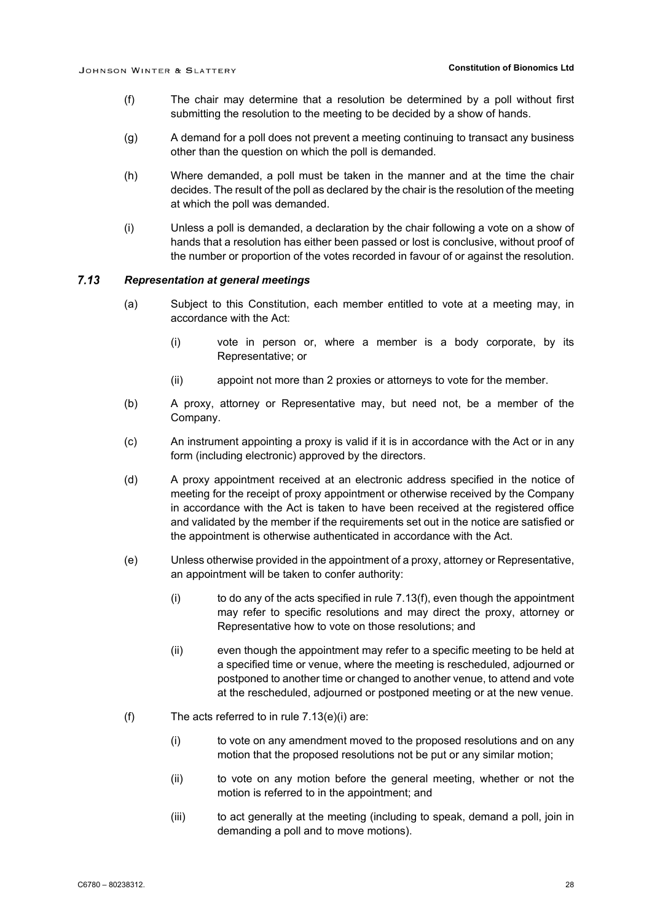- <span id="page-31-0"></span>(f) The chair may determine that a resolution be determined by a poll without first submitting the resolution to the meeting to be decided by a show of hands.
- (g) A demand for a poll does not prevent a meeting continuing to transact any business other than the question on which the poll is demanded.
- (h) Where demanded, a poll must be taken in the manner and at the time the chair decides. The result of the poll as declared by the chair is the resolution of the meeting at which the poll was demanded.
- (i) Unless a poll is demanded, a declaration by the chair following a vote on a show of hands that a resolution has either been passed or lost is conclusive, without proof of the number or proportion of the votes recorded in favour of or against the resolution.

#### $7.13$ *Representation at general meetings*

- (a) Subject to this Constitution, each member entitled to vote at a meeting may, in accordance with the Act:
	- (i) vote in person or, where a member is a body corporate, by its Representative; or
	- (ii) appoint not more than 2 proxies or attorneys to vote for the member.
- (b) A proxy, attorney or Representative may, but need not, be a member of the Company.
- (c) An instrument appointing a proxy is valid if it is in accordance with the Act or in any form (including electronic) approved by the directors.
- (d) A proxy appointment received at an electronic address specified in the notice of meeting for the receipt of proxy appointment or otherwise received by the Company in accordance with the Act is taken to have been received at the registered office and validated by the member if the requirements set out in the notice are satisfied or the appointment is otherwise authenticated in accordance with the Act.
- <span id="page-31-2"></span>(e) Unless otherwise provided in the appointment of a proxy, attorney or Representative, an appointment will be taken to confer authority:
	- $(i)$  to do any of the acts specified in rule [7.13\(f\),](#page-31-1) even though the appointment may refer to specific resolutions and may direct the proxy, attorney or Representative how to vote on those resolutions; and
	- (ii) even though the appointment may refer to a specific meeting to be held at a specified time or venue, where the meeting is rescheduled, adjourned or postponed to another time or changed to another venue, to attend and vote at the rescheduled, adjourned or postponed meeting or at the new venue.
- <span id="page-31-1"></span>(f) The acts referred to in rule  $7.13(e)(i)$  are:
	- (i) to vote on any amendment moved to the proposed resolutions and on any motion that the proposed resolutions not be put or any similar motion;
	- (ii) to vote on any motion before the general meeting, whether or not the motion is referred to in the appointment; and
	- (iii) to act generally at the meeting (including to speak, demand a poll, join in demanding a poll and to move motions).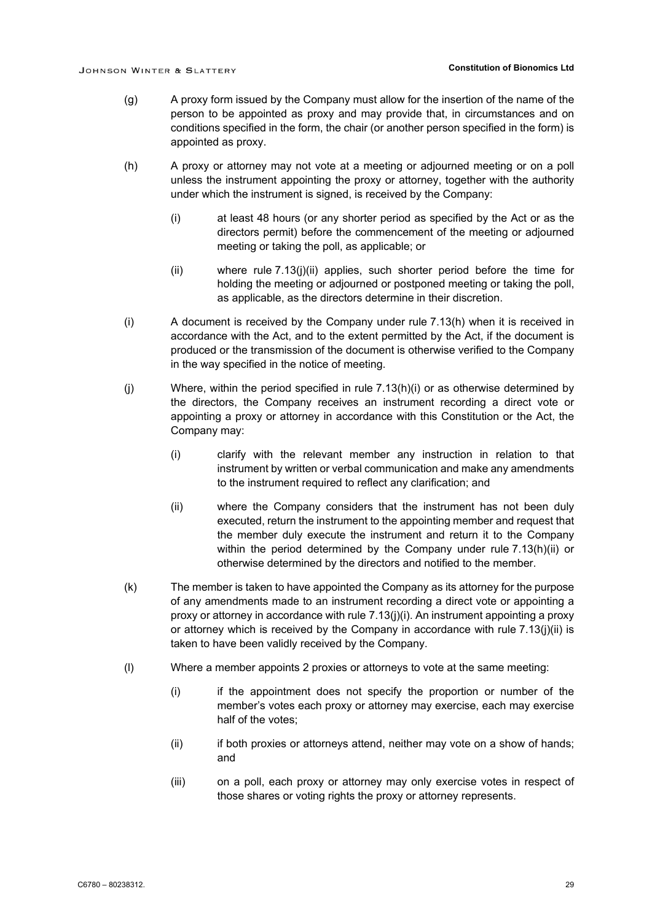- (g) A proxy form issued by the Company must allow for the insertion of the name of the person to be appointed as proxy and may provide that, in circumstances and on conditions specified in the form, the chair (or another person specified in the form) is appointed as proxy.
- <span id="page-32-2"></span><span id="page-32-1"></span>(h) A proxy or attorney may not vote at a meeting or adjourned meeting or on a poll unless the instrument appointing the proxy or attorney, together with the authority under which the instrument is signed, is received by the Company:
	- (i) at least 48 hours (or any shorter period as specified by the Act or as the directors permit) before the commencement of the meeting or adjourned meeting or taking the poll, as applicable; or
	- (ii) where rule [7.13\(j\)\(ii\)](#page-32-0) applies, such shorter period before the time for holding the meeting or adjourned or postponed meeting or taking the poll, as applicable, as the directors determine in their discretion.
- <span id="page-32-3"></span>(i) A document is received by the Company under rule [7.13\(h\)](#page-32-1) when it is received in accordance with the Act, and to the extent permitted by the Act, if the document is produced or the transmission of the document is otherwise verified to the Company in the way specified in the notice of meeting.
- <span id="page-32-5"></span><span id="page-32-4"></span>(j) Where, within the period specified in rule [7.13\(h\)\(i\)](#page-32-2) or as otherwise determined by the directors, the Company receives an instrument recording a direct vote or appointing a proxy or attorney in accordance with this Constitution or the Act, the Company may:
	- (i) clarify with the relevant member any instruction in relation to that instrument by written or verbal communication and make any amendments to the instrument required to reflect any clarification; and
	- (ii) where the Company considers that the instrument has not been duly executed, return the instrument to the appointing member and request that the member duly execute the instrument and return it to the Company within the period determined by the Company under rule [7.13\(h\)\(ii\)](#page-32-3) or otherwise determined by the directors and notified to the member.
- <span id="page-32-0"></span>(k) The member is taken to have appointed the Company as its attorney for the purpose of any amendments made to an instrument recording a direct vote or appointing a proxy or attorney in accordance with rule [7.13\(j\)\(i\).](#page-32-4) An instrument appointing a proxy or attorney which is received by the Company in accordance with rule  $7.13(i)(ii)$  is taken to have been validly received by the Company.
- (l) Where a member appoints 2 proxies or attorneys to vote at the same meeting:
	- (i) if the appointment does not specify the proportion or number of the member's votes each proxy or attorney may exercise, each may exercise half of the votes;
	- (ii) if both proxies or attorneys attend, neither may vote on a show of hands; and
	- (iii) on a poll, each proxy or attorney may only exercise votes in respect of those shares or voting rights the proxy or attorney represents.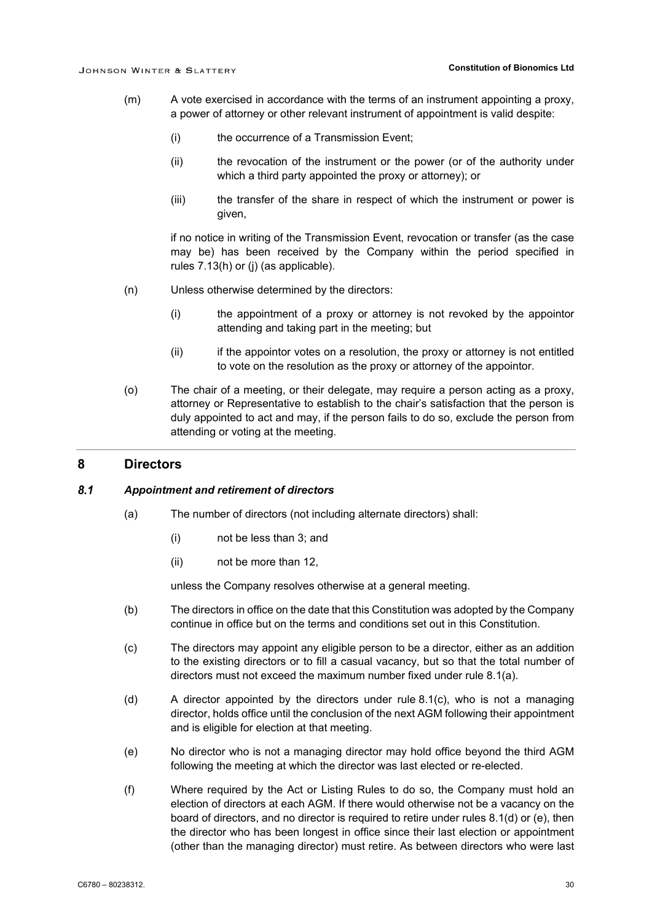- (m) A vote exercised in accordance with the terms of an instrument appointing a proxy, a power of attorney or other relevant instrument of appointment is valid despite:
	- (i) the occurrence of a Transmission Event;
	- (ii) the revocation of the instrument or the power (or of the authority under which a third party appointed the proxy or attorney); or
	- (iii) the transfer of the share in respect of which the instrument or power is given,

if no notice in writing of the Transmission Event, revocation or transfer (as the case may be) has been received by the Company within the period specified in rules [7.13\(h\)](#page-32-1) or [\(j\)](#page-32-5) (as applicable).

- (n) Unless otherwise determined by the directors:
	- (i) the appointment of a proxy or attorney is not revoked by the appointor attending and taking part in the meeting; but
	- (ii) if the appointor votes on a resolution, the proxy or attorney is not entitled to vote on the resolution as the proxy or attorney of the appointor.
- (o) The chair of a meeting, or their delegate, may require a person acting as a proxy, attorney or Representative to establish to the chair's satisfaction that the person is duly appointed to act and may, if the person fails to do so, exclude the person from attending or voting at the meeting.

### **8 Directors**

#### <span id="page-33-1"></span> $8.1$ *Appointment and retirement of directors*

- (a) The number of directors (not including alternate directors) shall:
	- (i) not be less than 3; and
	- (ii) not be more than 12,

unless the Company resolves otherwise at a general meeting.

- (b) The directors in office on the date that this Constitution was adopted by the Company continue in office but on the terms and conditions set out in this Constitution.
- <span id="page-33-0"></span>(c) The directors may appoint any eligible person to be a director, either as an addition to the existing directors or to fill a casual vacancy, but so that the total number of directors must not exceed the maximum number fixed under rule [8.1\(a\).](#page-33-1)
- <span id="page-33-2"></span>(d) A director appointed by the directors under rule [8.1\(c\),](#page-33-0) who is not a managing director, holds office until the conclusion of the next AGM following their appointment and is eligible for election at that meeting.
- <span id="page-33-3"></span>(e) No director who is not a managing director may hold office beyond the third AGM following the meeting at which the director was last elected or re-elected.
- <span id="page-33-4"></span>(f) Where required by the Act or Listing Rules to do so, the Company must hold an election of directors at each AGM. If there would otherwise not be a vacancy on the board of directors, and no director is required to retire under rules [8.1\(d\)](#page-33-2) or [\(e\),](#page-33-3) then the director who has been longest in office since their last election or appointment (other than the managing director) must retire. As between directors who were last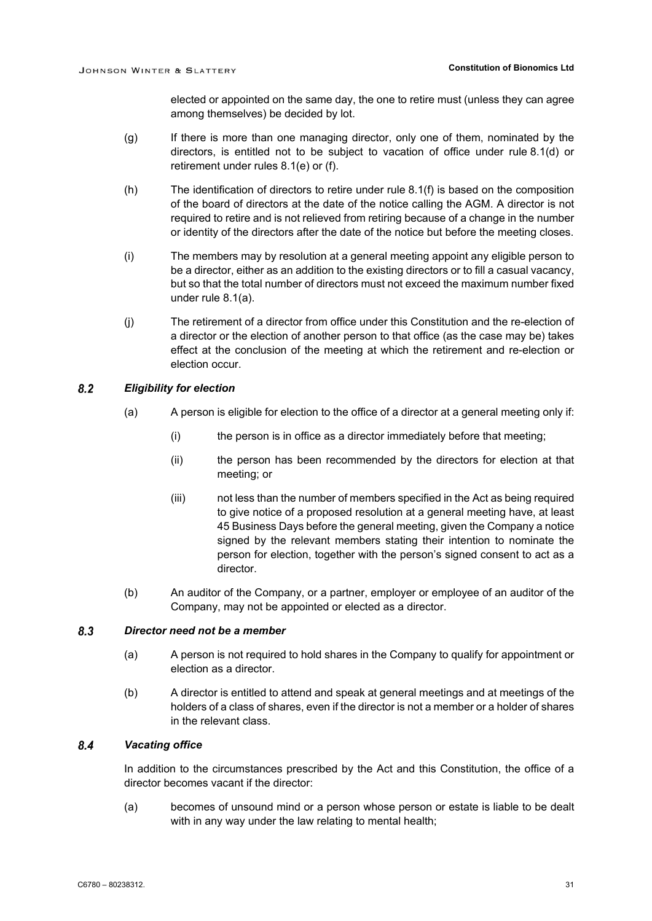elected or appointed on the same day, the one to retire must (unless they can agree among themselves) be decided by lot.

- (g) If there is more than one managing director, only one of them, nominated by the directors, is entitled not to be subject to vacation of office under rule [8.1\(d\)](#page-33-2) or retirement under rules [8.1\(e\)](#page-33-3) or [\(f\).](#page-33-4)
- (h) The identification of directors to retire under rule [8.1\(f\)](#page-33-4) is based on the composition of the board of directors at the date of the notice calling the AGM. A director is not required to retire and is not relieved from retiring because of a change in the number or identity of the directors after the date of the notice but before the meeting closes.
- (i) The members may by resolution at a general meeting appoint any eligible person to be a director, either as an addition to the existing directors or to fill a casual vacancy, but so that the total number of directors must not exceed the maximum number fixed under rule [8.1\(a\).](#page-33-1)
- (j) The retirement of a director from office under this Constitution and the re-election of a director or the election of another person to that office (as the case may be) takes effect at the conclusion of the meeting at which the retirement and re-election or election occur.

#### $8.2$ *Eligibility for election*

- (a) A person is eligible for election to the office of a director at a general meeting only if:
	- (i) the person is in office as a director immediately before that meeting;
	- (ii) the person has been recommended by the directors for election at that meeting; or
	- (iii) not less than the number of members specified in the Act as being required to give notice of a proposed resolution at a general meeting have, at least 45 Business Days before the general meeting, given the Company a notice signed by the relevant members stating their intention to nominate the person for election, together with the person's signed consent to act as a director.
- (b) An auditor of the Company, or a partner, employer or employee of an auditor of the Company, may not be appointed or elected as a director.

#### $8.3$ *Director need not be a member*

- (a) A person is not required to hold shares in the Company to qualify for appointment or election as a director.
- (b) A director is entitled to attend and speak at general meetings and at meetings of the holders of a class of shares, even if the director is not a member or a holder of shares in the relevant class.

#### $8.4$ *Vacating office*

In addition to the circumstances prescribed by the Act and this Constitution, the office of a director becomes vacant if the director:

(a) becomes of unsound mind or a person whose person or estate is liable to be dealt with in any way under the law relating to mental health;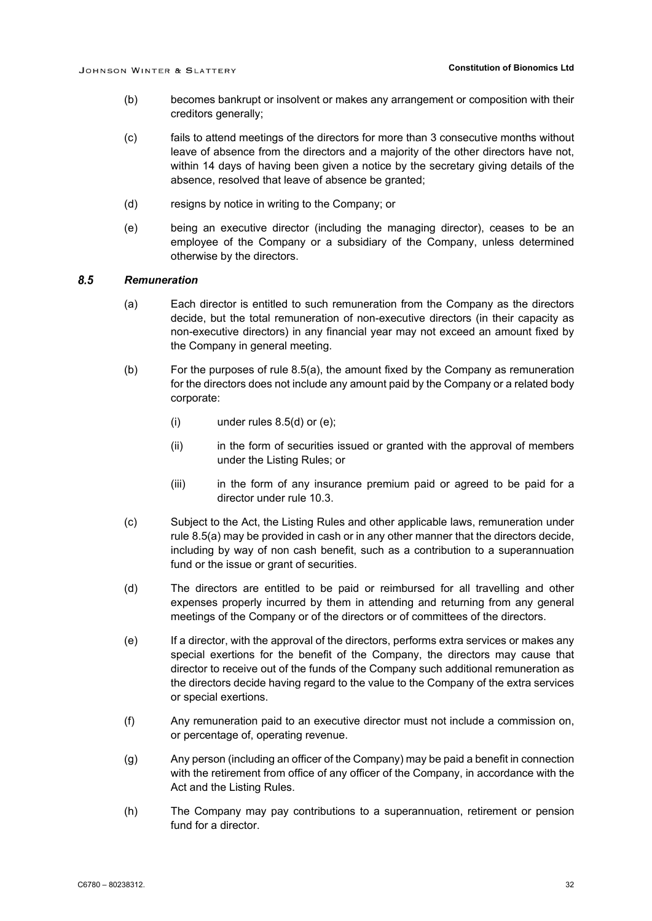- (b) becomes bankrupt or insolvent or makes any arrangement or composition with their creditors generally;
- (c) fails to attend meetings of the directors for more than 3 consecutive months without leave of absence from the directors and a majority of the other directors have not, within 14 days of having been given a notice by the secretary giving details of the absence, resolved that leave of absence be granted;
- (d) resigns by notice in writing to the Company; or
- (e) being an executive director (including the managing director), ceases to be an employee of the Company or a subsidiary of the Company, unless determined otherwise by the directors.

#### <span id="page-35-0"></span> $8.5$ *Remuneration*

- (a) Each director is entitled to such remuneration from the Company as the directors decide, but the total remuneration of non-executive directors (in their capacity as non-executive directors) in any financial year may not exceed an amount fixed by the Company in general meeting.
- (b) For the purposes of rule [8.5\(a\),](#page-35-0) the amount fixed by the Company as remuneration for the directors does not include any amount paid by the Company or a related body corporate:
	- $(i)$  under rules  $8.5(d)$  or  $(e)$ ;
	- (ii) in the form of securities issued or granted with the approval of members under the Listing Rules; or
	- (iii) in the form of any insurance premium paid or agreed to be paid for a director under rule [10.3.](#page-42-0)
- (c) Subject to the Act, the Listing Rules and other applicable laws, remuneration under rule [8.5\(a\)](#page-35-0) may be provided in cash or in any other manner that the directors decide, including by way of non cash benefit, such as a contribution to a superannuation fund or the issue or grant of securities.
- <span id="page-35-1"></span>(d) The directors are entitled to be paid or reimbursed for all travelling and other expenses properly incurred by them in attending and returning from any general meetings of the Company or of the directors or of committees of the directors.
- <span id="page-35-2"></span>(e) If a director, with the approval of the directors, performs extra services or makes any special exertions for the benefit of the Company, the directors may cause that director to receive out of the funds of the Company such additional remuneration as the directors decide having regard to the value to the Company of the extra services or special exertions.
- (f) Any remuneration paid to an executive director must not include a commission on, or percentage of, operating revenue.
- (g) Any person (including an officer of the Company) may be paid a benefit in connection with the retirement from office of any officer of the Company, in accordance with the Act and the Listing Rules.
- (h) The Company may pay contributions to a superannuation, retirement or pension fund for a director.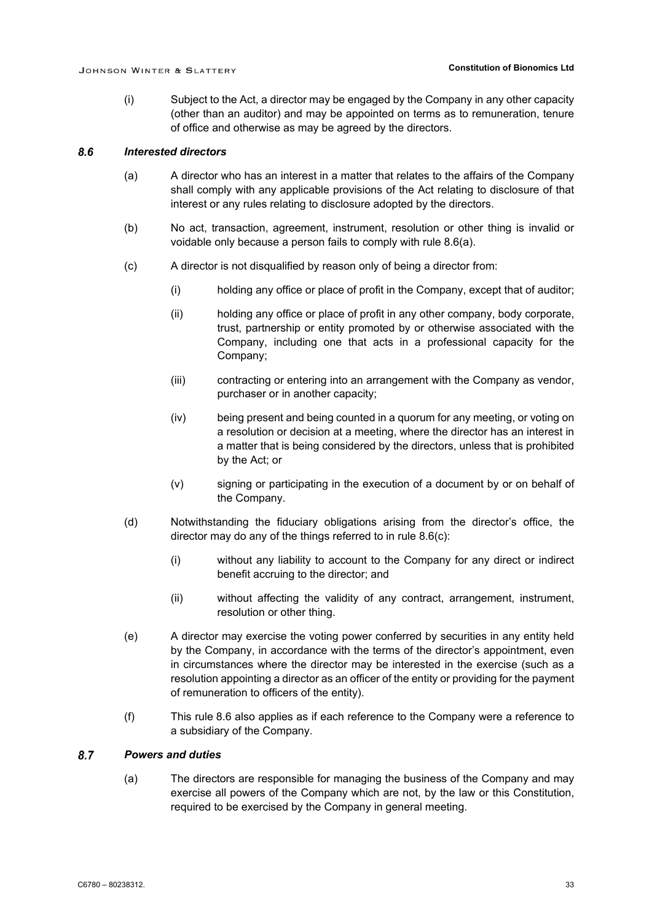(i) Subject to the Act, a director may be engaged by the Company in any other capacity (other than an auditor) and may be appointed on terms as to remuneration, tenure of office and otherwise as may be agreed by the directors.

#### <span id="page-36-2"></span><span id="page-36-0"></span> $8.6$ *Interested directors*

- (a) A director who has an interest in a matter that relates to the affairs of the Company shall comply with any applicable provisions of the Act relating to disclosure of that interest or any rules relating to disclosure adopted by the directors.
- (b) No act, transaction, agreement, instrument, resolution or other thing is invalid or voidable only because a person fails to comply with rule [8.6\(a\).](#page-36-0)
- <span id="page-36-1"></span>(c) A director is not disqualified by reason only of being a director from:
	- (i) holding any office or place of profit in the Company, except that of auditor;
	- (ii) holding any office or place of profit in any other company, body corporate, trust, partnership or entity promoted by or otherwise associated with the Company, including one that acts in a professional capacity for the Company;
	- (iii) contracting or entering into an arrangement with the Company as vendor, purchaser or in another capacity;
	- (iv) being present and being counted in a quorum for any meeting, or voting on a resolution or decision at a meeting, where the director has an interest in a matter that is being considered by the directors, unless that is prohibited by the Act; or
	- (v) signing or participating in the execution of a document by or on behalf of the Company.
- (d) Notwithstanding the fiduciary obligations arising from the director's office, the director may do any of the things referred to in rule [8.6\(c\):](#page-36-1)
	- (i) without any liability to account to the Company for any direct or indirect benefit accruing to the director; and
	- (ii) without affecting the validity of any contract, arrangement, instrument, resolution or other thing.
- (e) A director may exercise the voting power conferred by securities in any entity held by the Company, in accordance with the terms of the director's appointment, even in circumstances where the director may be interested in the exercise (such as a resolution appointing a director as an officer of the entity or providing for the payment of remuneration to officers of the entity).
- (f) This rule [8.6](#page-36-2) also applies as if each reference to the Company were a reference to a subsidiary of the Company.

#### <span id="page-36-4"></span><span id="page-36-3"></span> $8.7$ *Powers and duties*

(a) The directors are responsible for managing the business of the Company and may exercise all powers of the Company which are not, by the law or this Constitution, required to be exercised by the Company in general meeting.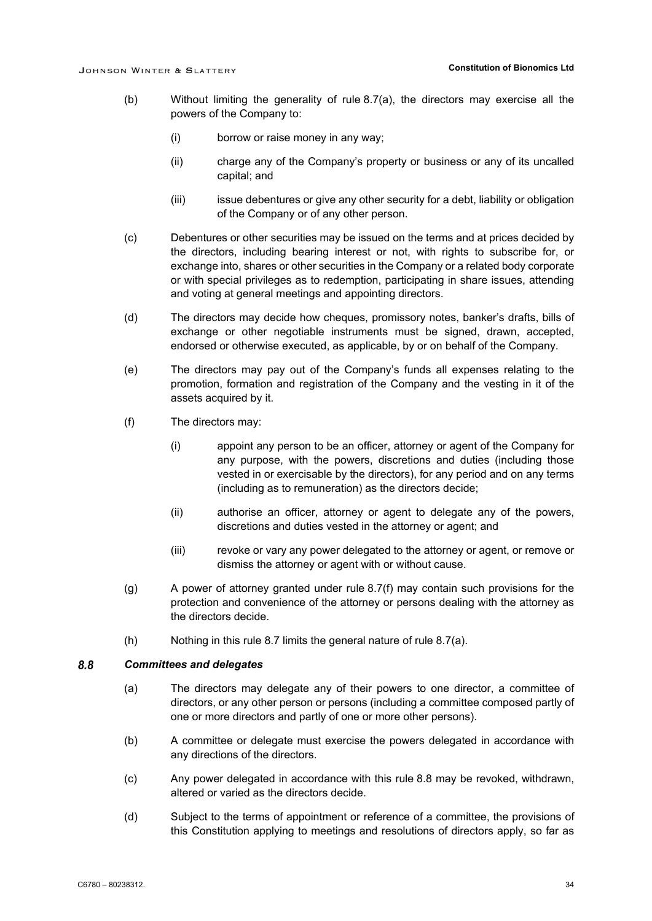- (b) Without limiting the generality of rule [8.7\(a\),](#page-36-3) the directors may exercise all the powers of the Company to:
	- (i) borrow or raise money in any way;
	- (ii) charge any of the Company's property or business or any of its uncalled capital; and
	- (iii) issue debentures or give any other security for a debt, liability or obligation of the Company or of any other person.
- (c) Debentures or other securities may be issued on the terms and at prices decided by the directors, including bearing interest or not, with rights to subscribe for, or exchange into, shares or other securities in the Company or a related body corporate or with special privileges as to redemption, participating in share issues, attending and voting at general meetings and appointing directors.
- (d) The directors may decide how cheques, promissory notes, banker's drafts, bills of exchange or other negotiable instruments must be signed, drawn, accepted, endorsed or otherwise executed, as applicable, by or on behalf of the Company.
- (e) The directors may pay out of the Company's funds all expenses relating to the promotion, formation and registration of the Company and the vesting in it of the assets acquired by it.
- <span id="page-37-0"></span>(f) The directors may:
	- (i) appoint any person to be an officer, attorney or agent of the Company for any purpose, with the powers, discretions and duties (including those vested in or exercisable by the directors), for any period and on any terms (including as to remuneration) as the directors decide;
	- (ii) authorise an officer, attorney or agent to delegate any of the powers, discretions and duties vested in the attorney or agent; and
	- (iii) revoke or vary any power delegated to the attorney or agent, or remove or dismiss the attorney or agent with or without cause.
- (g) A power of attorney granted under rule [8.7\(f\)](#page-37-0) may contain such provisions for the protection and convenience of the attorney or persons dealing with the attorney as the directors decide.
- (h) Nothing in this rule [8.7](#page-36-4) limits the general nature of rule [8.7\(a\).](#page-36-3)

#### <span id="page-37-1"></span> $8.8$ *Committees and delegates*

- (a) The directors may delegate any of their powers to one director, a committee of directors, or any other person or persons (including a committee composed partly of one or more directors and partly of one or more other persons).
- (b) A committee or delegate must exercise the powers delegated in accordance with any directions of the directors.
- (c) Any power delegated in accordance with this rule [8.8](#page-37-1) may be revoked, withdrawn, altered or varied as the directors decide.
- (d) Subject to the terms of appointment or reference of a committee, the provisions of this Constitution applying to meetings and resolutions of directors apply, so far as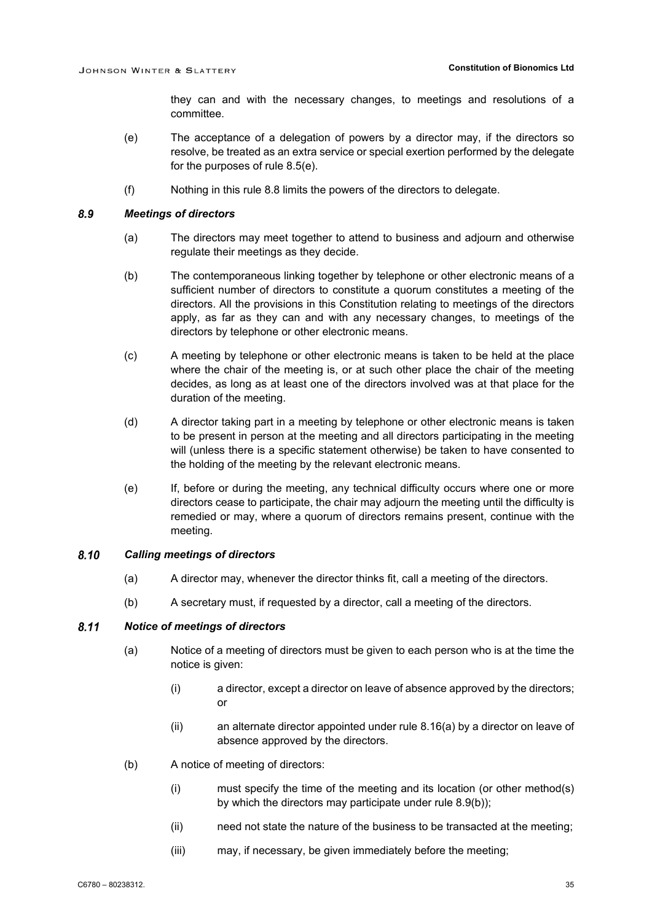they can and with the necessary changes, to meetings and resolutions of a committee.

- (e) The acceptance of a delegation of powers by a director may, if the directors so resolve, be treated as an extra service or special exertion performed by the delegate for the purposes of rule [8.5\(e\).](#page-35-2)
- (f) Nothing in this rule [8.8](#page-37-1) limits the powers of the directors to delegate.

#### 8.9 *Meetings of directors*

- (a) The directors may meet together to attend to business and adjourn and otherwise regulate their meetings as they decide.
- <span id="page-38-0"></span>(b) The contemporaneous linking together by telephone or other electronic means of a sufficient number of directors to constitute a quorum constitutes a meeting of the directors. All the provisions in this Constitution relating to meetings of the directors apply, as far as they can and with any necessary changes, to meetings of the directors by telephone or other electronic means.
- (c) A meeting by telephone or other electronic means is taken to be held at the place where the chair of the meeting is, or at such other place the chair of the meeting decides, as long as at least one of the directors involved was at that place for the duration of the meeting.
- (d) A director taking part in a meeting by telephone or other electronic means is taken to be present in person at the meeting and all directors participating in the meeting will (unless there is a specific statement otherwise) be taken to have consented to the holding of the meeting by the relevant electronic means.
- (e) If, before or during the meeting, any technical difficulty occurs where one or more directors cease to participate, the chair may adjourn the meeting until the difficulty is remedied or may, where a quorum of directors remains present, continue with the meeting.

#### 8.10 *Calling meetings of directors*

- (a) A director may, whenever the director thinks fit, call a meeting of the directors.
- (b) A secretary must, if requested by a director, call a meeting of the directors.

#### $8.11$ *Notice of meetings of directors*

- (a) Notice of a meeting of directors must be given to each person who is at the time the notice is given:
	- (i) a director, except a director on leave of absence approved by the directors; or
	- (ii) an alternate director appointed under rule [8.16\(a\)](#page-40-0) by a director on leave of absence approved by the directors.
- (b) A notice of meeting of directors:
	- (i) must specify the time of the meeting and its location (or other method(s) by which the directors may participate under rule [8.9\(b\)\)](#page-38-0);
	- (ii) need not state the nature of the business to be transacted at the meeting;
	- (iii) may, if necessary, be given immediately before the meeting;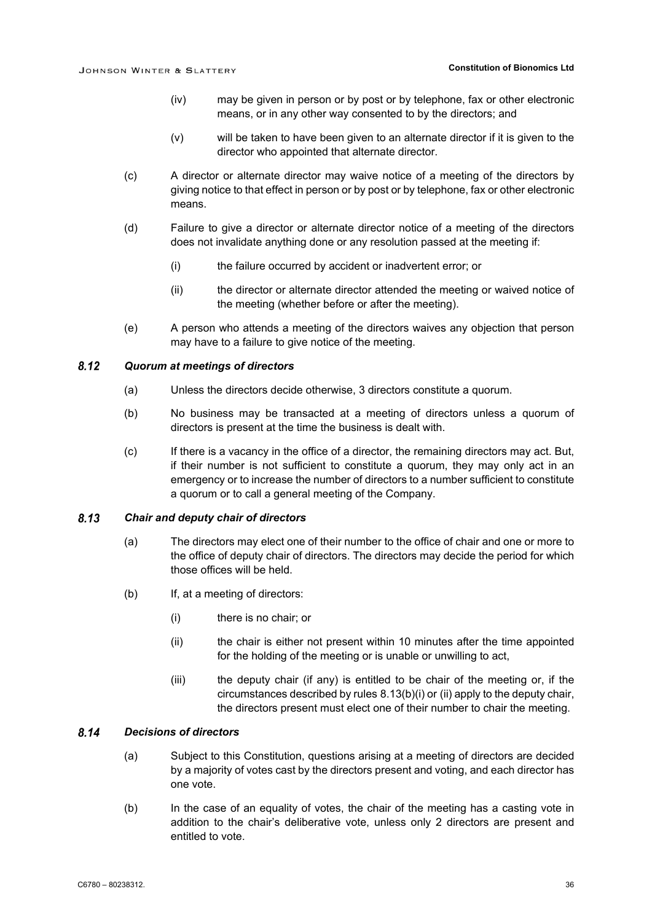- (iv) may be given in person or by post or by telephone, fax or other electronic means, or in any other way consented to by the directors; and
- (v) will be taken to have been given to an alternate director if it is given to the director who appointed that alternate director.
- (c) A director or alternate director may waive notice of a meeting of the directors by giving notice to that effect in person or by post or by telephone, fax or other electronic means.
- (d) Failure to give a director or alternate director notice of a meeting of the directors does not invalidate anything done or any resolution passed at the meeting if:
	- (i) the failure occurred by accident or inadvertent error; or
	- (ii) the director or alternate director attended the meeting or waived notice of the meeting (whether before or after the meeting).
- (e) A person who attends a meeting of the directors waives any objection that person may have to a failure to give notice of the meeting.

#### $8.12$ *Quorum at meetings of directors*

- (a) Unless the directors decide otherwise, 3 directors constitute a quorum.
- (b) No business may be transacted at a meeting of directors unless a quorum of directors is present at the time the business is dealt with.
- (c) If there is a vacancy in the office of a director, the remaining directors may act. But, if their number is not sufficient to constitute a quorum, they may only act in an emergency or to increase the number of directors to a number sufficient to constitute a quorum or to call a general meeting of the Company.

#### 8.13 *Chair and deputy chair of directors*

- (a) The directors may elect one of their number to the office of chair and one or more to the office of deputy chair of directors. The directors may decide the period for which those offices will be held.
- <span id="page-39-1"></span><span id="page-39-0"></span>(b) If, at a meeting of directors:
	- (i) there is no chair; or
	- (ii) the chair is either not present within 10 minutes after the time appointed for the holding of the meeting or is unable or unwilling to act,
	- $(iii)$  the deputy chair (if any) is entitled to be chair of the meeting or, if the circumstances described by rules [8.13\(b\)\(i\)](#page-39-0) or [\(ii\)](#page-39-1) apply to the deputy chair, the directors present must elect one of their number to chair the meeting.

#### $8.14$ *Decisions of directors*

- (a) Subject to this Constitution, questions arising at a meeting of directors are decided by a majority of votes cast by the directors present and voting, and each director has one vote.
- (b) In the case of an equality of votes, the chair of the meeting has a casting vote in addition to the chair's deliberative vote, unless only 2 directors are present and entitled to vote.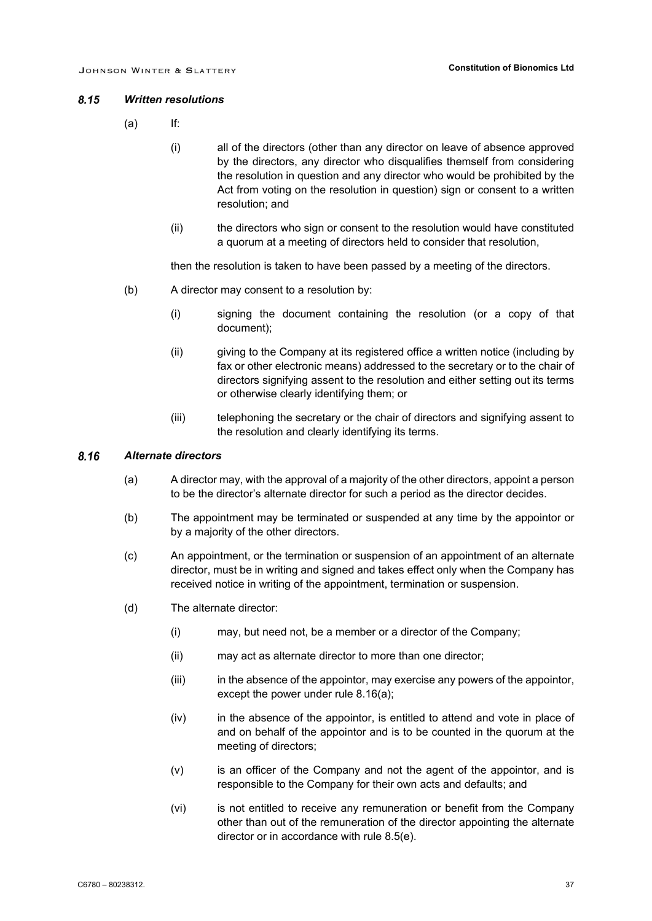#### $8.15$ *Written resolutions*

- (a) If:
	- (i) all of the directors (other than any director on leave of absence approved by the directors, any director who disqualifies themself from considering the resolution in question and any director who would be prohibited by the Act from voting on the resolution in question) sign or consent to a written resolution; and
	- (ii) the directors who sign or consent to the resolution would have constituted a quorum at a meeting of directors held to consider that resolution,

then the resolution is taken to have been passed by a meeting of the directors.

- (b) A director may consent to a resolution by:
	- (i) signing the document containing the resolution (or a copy of that document);
	- (ii) giving to the Company at its registered office a written notice (including by fax or other electronic means) addressed to the secretary or to the chair of directors signifying assent to the resolution and either setting out its terms or otherwise clearly identifying them; or
	- (iii) telephoning the secretary or the chair of directors and signifying assent to the resolution and clearly identifying its terms.

#### <span id="page-40-0"></span>8.16 *Alternate directors*

- (a) A director may, with the approval of a majority of the other directors, appoint a person to be the director's alternate director for such a period as the director decides.
- (b) The appointment may be terminated or suspended at any time by the appointor or by a majority of the other directors.
- (c) An appointment, or the termination or suspension of an appointment of an alternate director, must be in writing and signed and takes effect only when the Company has received notice in writing of the appointment, termination or suspension.
- (d) The alternate director:
	- (i) may, but need not, be a member or a director of the Company;
	- (ii) may act as alternate director to more than one director;
	- (iii) in the absence of the appointor, may exercise any powers of the appointor, except the power under rule [8.16\(a\);](#page-40-0)
	- (iv) in the absence of the appointor, is entitled to attend and vote in place of and on behalf of the appointor and is to be counted in the quorum at the meeting of directors;
	- (v) is an officer of the Company and not the agent of the appointor, and is responsible to the Company for their own acts and defaults; and
	- (vi) is not entitled to receive any remuneration or benefit from the Company other than out of the remuneration of the director appointing the alternate director or in accordance with rule [8.5\(e\).](#page-35-2)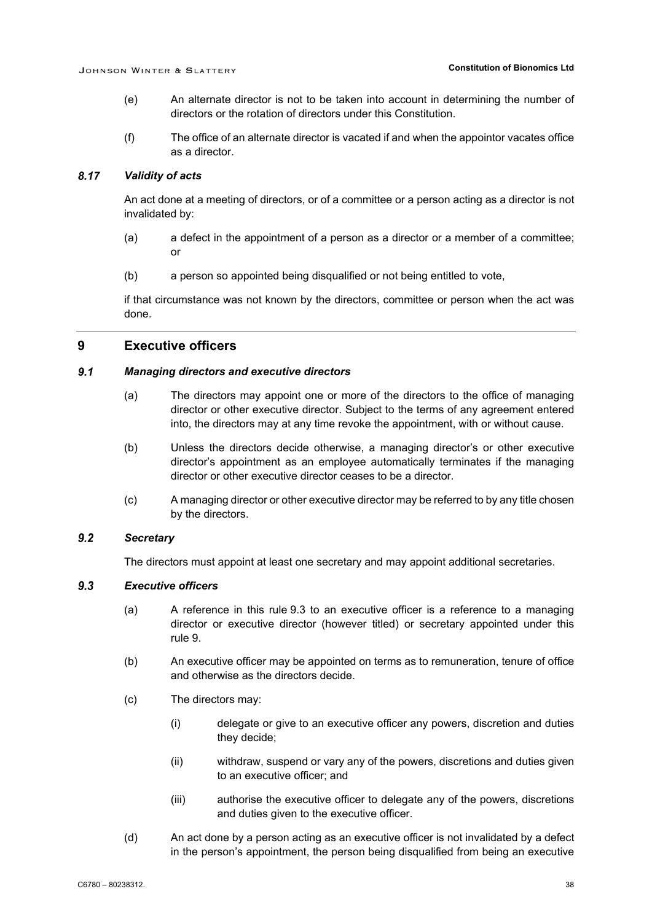- (e) An alternate director is not to be taken into account in determining the number of directors or the rotation of directors under this Constitution.
- (f) The office of an alternate director is vacated if and when the appointor vacates office as a director.

#### 8.17 *Validity of acts*

An act done at a meeting of directors, or of a committee or a person acting as a director is not invalidated by:

- (a) a defect in the appointment of a person as a director or a member of a committee; or
- (b) a person so appointed being disqualified or not being entitled to vote,

if that circumstance was not known by the directors, committee or person when the act was done.

### <span id="page-41-1"></span>**9 Executive officers**

#### $9.1$ *Managing directors and executive directors*

- (a) The directors may appoint one or more of the directors to the office of managing director or other executive director. Subject to the terms of any agreement entered into, the directors may at any time revoke the appointment, with or without cause.
- (b) Unless the directors decide otherwise, a managing director's or other executive director's appointment as an employee automatically terminates if the managing director or other executive director ceases to be a director.
- (c) A managing director or other executive director may be referred to by any title chosen by the directors.

#### $9.2$ *Secretary*

The directors must appoint at least one secretary and may appoint additional secretaries.

#### <span id="page-41-2"></span><span id="page-41-0"></span> $9.3$ *Executive officers*

- (a) A reference in this rule [9.3](#page-41-0) to an executive officer is a reference to a managing director or executive director (however titled) or secretary appointed under this rule [9.](#page-41-1)
- (b) An executive officer may be appointed on terms as to remuneration, tenure of office and otherwise as the directors decide.
- (c) The directors may:
	- (i) delegate or give to an executive officer any powers, discretion and duties they decide;
	- (ii) withdraw, suspend or vary any of the powers, discretions and duties given to an executive officer; and
	- (iii) authorise the executive officer to delegate any of the powers, discretions and duties given to the executive officer.
- (d) An act done by a person acting as an executive officer is not invalidated by a defect in the person's appointment, the person being disqualified from being an executive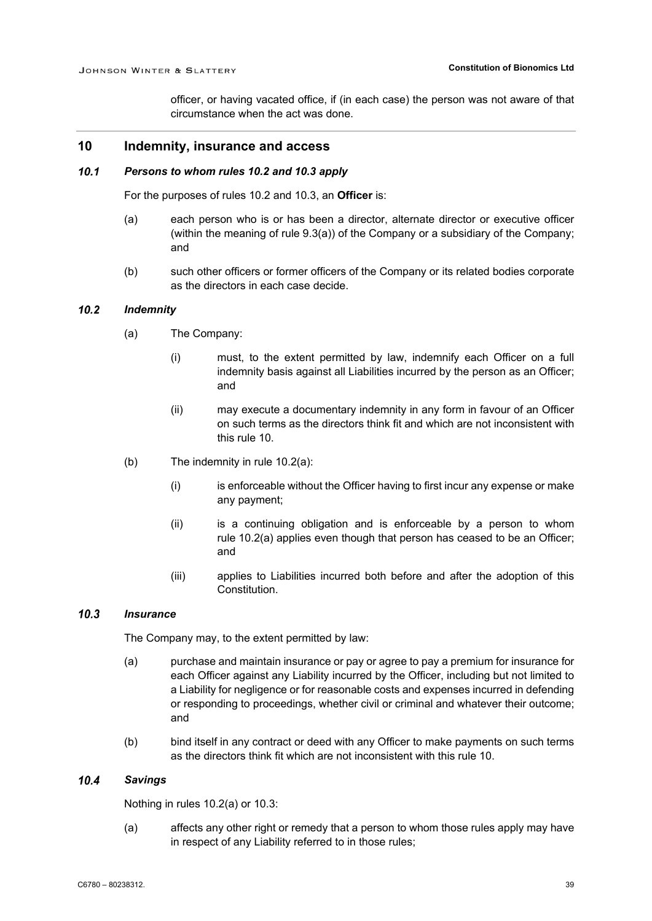officer, or having vacated office, if (in each case) the person was not aware of that circumstance when the act was done.

### <span id="page-42-2"></span>**10 Indemnity, insurance and access**

#### $10.1$ *Persons to whom rules [10.2](#page-42-1) and [10.3](#page-42-0) apply*

For the purposes of rules [10.2](#page-42-1) and [10.3,](#page-42-0) an **Officer** is:

- (a) each person who is or has been a director, alternate director or executive officer (within the meaning of rule [9.3\(a\)\)](#page-41-2) of the Company or a subsidiary of the Company; and
- (b) such other officers or former officers of the Company or its related bodies corporate as the directors in each case decide.

#### <span id="page-42-3"></span><span id="page-42-1"></span> $10.2$ *Indemnity*

- (a) The Company:
	- (i) must, to the extent permitted by law, indemnify each Officer on a full indemnity basis against all Liabilities incurred by the person as an Officer; and
	- (ii) may execute a documentary indemnity in any form in favour of an Officer on such terms as the directors think fit and which are not inconsistent with this rule [10.](#page-42-2)
- (b) The indemnity in rule [10.2\(a\):](#page-42-3)
	- (i) is enforceable without the Officer having to first incur any expense or make any payment;
	- (ii) is a continuing obligation and is enforceable by a person to whom rule [10.2\(a\)](#page-42-3) applies even though that person has ceased to be an Officer; and
	- (iii) applies to Liabilities incurred both before and after the adoption of this Constitution.

#### <span id="page-42-0"></span> $10.3$ *Insurance*

The Company may, to the extent permitted by law:

- (a) purchase and maintain insurance or pay or agree to pay a premium for insurance for each Officer against any Liability incurred by the Officer, including but not limited to a Liability for negligence or for reasonable costs and expenses incurred in defending or responding to proceedings, whether civil or criminal and whatever their outcome; and
- (b) bind itself in any contract or deed with any Officer to make payments on such terms as the directors think fit which are not inconsistent with this rule [10.](#page-42-2)

#### $10.4$ *Savings*

Nothing in rules [10.2\(a\)](#page-42-3) or [10.3:](#page-42-0)

(a) affects any other right or remedy that a person to whom those rules apply may have in respect of any Liability referred to in those rules;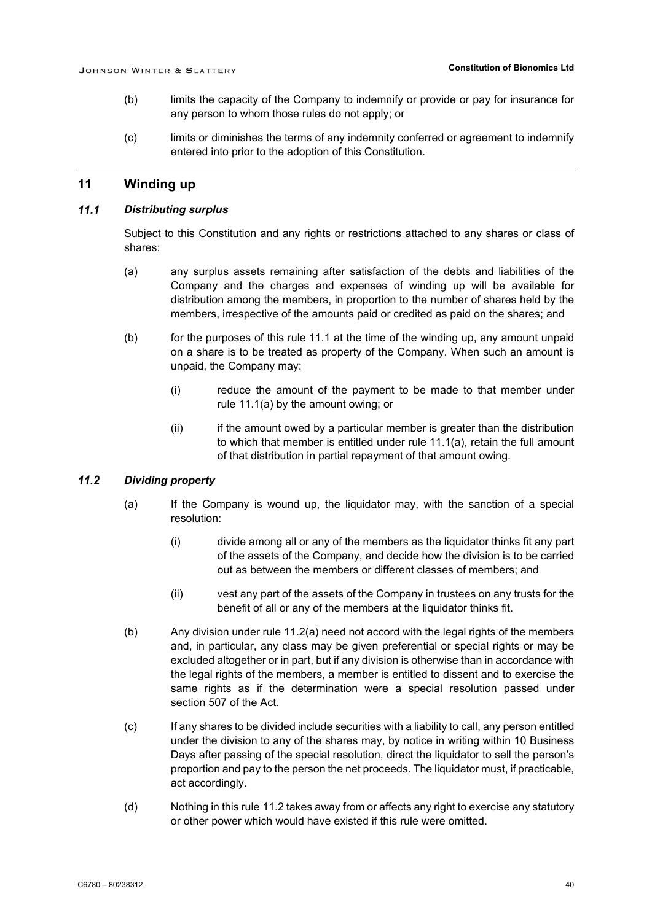- (b) limits the capacity of the Company to indemnify or provide or pay for insurance for any person to whom those rules do not apply; or
- (c) limits or diminishes the terms of any indemnity conferred or agreement to indemnify entered into prior to the adoption of this Constitution.

### **11 Winding up**

#### <span id="page-43-0"></span> $11.1$ *Distributing surplus*

Subject to this Constitution and any rights or restrictions attached to any shares or class of shares:

- <span id="page-43-1"></span>(a) any surplus assets remaining after satisfaction of the debts and liabilities of the Company and the charges and expenses of winding up will be available for distribution among the members, in proportion to the number of shares held by the members, irrespective of the amounts paid or credited as paid on the shares; and
- (b) for the purposes of this rule [11.1](#page-43-0) at the time of the winding up, any amount unpaid on a share is to be treated as property of the Company. When such an amount is unpaid, the Company may:
	- (i) reduce the amount of the payment to be made to that member under rule [11.1\(a\)](#page-43-1) by the amount owing; or
	- (ii) if the amount owed by a particular member is greater than the distribution to which that member is entitled under rule [11.1\(a\),](#page-43-1) retain the full amount of that distribution in partial repayment of that amount owing.

#### <span id="page-43-3"></span><span id="page-43-2"></span> $11.2$ *Dividing property*

- (a) If the Company is wound up, the liquidator may, with the sanction of a special resolution:
	- (i) divide among all or any of the members as the liquidator thinks fit any part of the assets of the Company, and decide how the division is to be carried out as between the members or different classes of members; and
	- (ii) vest any part of the assets of the Company in trustees on any trusts for the benefit of all or any of the members at the liquidator thinks fit.
- (b) Any division under rule [11.2\(a\)](#page-43-2) need not accord with the legal rights of the members and, in particular, any class may be given preferential or special rights or may be excluded altogether or in part, but if any division is otherwise than in accordance with the legal rights of the members, a member is entitled to dissent and to exercise the same rights as if the determination were a special resolution passed under section 507 of the Act.
- (c) If any shares to be divided include securities with a liability to call, any person entitled under the division to any of the shares may, by notice in writing within 10 Business Days after passing of the special resolution, direct the liquidator to sell the person's proportion and pay to the person the net proceeds. The liquidator must, if practicable, act accordingly.
- (d) Nothing in this rule [11.2](#page-43-3) takes away from or affects any right to exercise any statutory or other power which would have existed if this rule were omitted.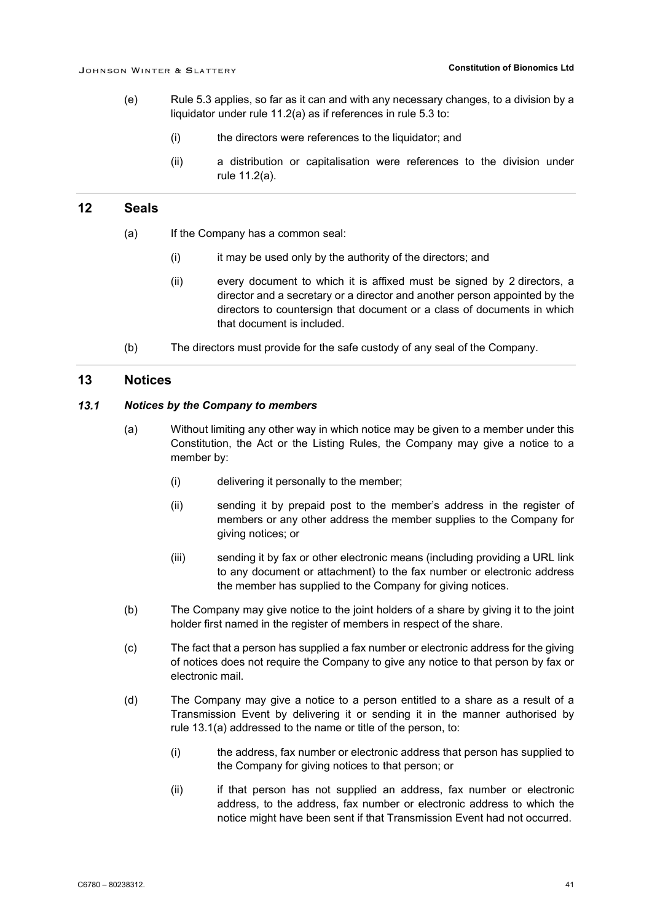- (e) Rule [5.3](#page-20-1) applies, so far as it can and with any necessary changes, to a division by a liquidator under rule [11.2\(a\)](#page-43-2) as if references in rule [5.3](#page-20-1) to:
	- (i) the directors were references to the liquidator; and
	- (ii) a distribution or capitalisation were references to the division under rule [11.2\(a\).](#page-43-2)

### **12 Seals**

- (a) If the Company has a common seal:
	- (i) it may be used only by the authority of the directors; and
	- (ii) every document to which it is affixed must be signed by 2 directors, a director and a secretary or a director and another person appointed by the directors to countersign that document or a class of documents in which that document is included.
- (b) The directors must provide for the safe custody of any seal of the Company.

### **13 Notices**

#### <span id="page-44-1"></span><span id="page-44-0"></span> $13.1$ *Notices by the Company to members*

- (a) Without limiting any other way in which notice may be given to a member under this Constitution, the Act or the Listing Rules, the Company may give a notice to a member by:
	- (i) delivering it personally to the member;
	- (ii) sending it by prepaid post to the member's address in the register of members or any other address the member supplies to the Company for giving notices; or
	- (iii) sending it by fax or other electronic means (including providing a URL link to any document or attachment) to the fax number or electronic address the member has supplied to the Company for giving notices.
- <span id="page-44-2"></span>(b) The Company may give notice to the joint holders of a share by giving it to the joint holder first named in the register of members in respect of the share.
- (c) The fact that a person has supplied a fax number or electronic address for the giving of notices does not require the Company to give any notice to that person by fax or electronic mail.
- (d) The Company may give a notice to a person entitled to a share as a result of a Transmission Event by delivering it or sending it in the manner authorised by rule [13.1\(a\)](#page-44-1) addressed to the name or title of the person, to:
	- (i) the address, fax number or electronic address that person has supplied to the Company for giving notices to that person; or
	- (ii) if that person has not supplied an address, fax number or electronic address, to the address, fax number or electronic address to which the notice might have been sent if that Transmission Event had not occurred.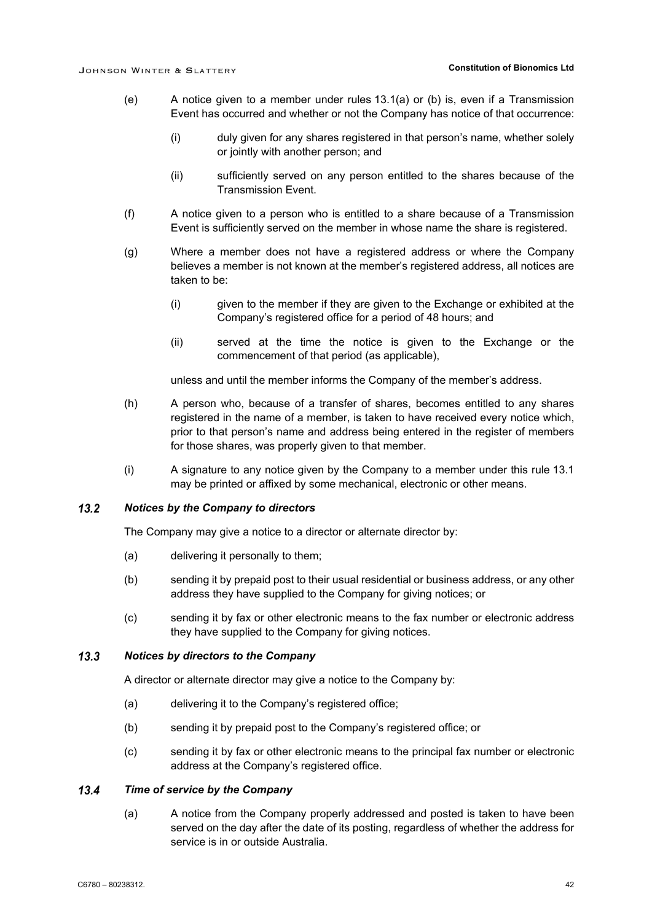- (e) A notice given to a member under rules [13.1\(a\)](#page-44-1) or [\(b\)](#page-44-2) is, even if a Transmission Event has occurred and whether or not the Company has notice of that occurrence:
	- (i) duly given for any shares registered in that person's name, whether solely or jointly with another person; and
	- (ii) sufficiently served on any person entitled to the shares because of the Transmission Event.
- (f) A notice given to a person who is entitled to a share because of a Transmission Event is sufficiently served on the member in whose name the share is registered.
- (g) Where a member does not have a registered address or where the Company believes a member is not known at the member's registered address, all notices are taken to be:
	- (i) given to the member if they are given to the Exchange or exhibited at the Company's registered office for a period of 48 hours; and
	- (ii) served at the time the notice is given to the Exchange or the commencement of that period (as applicable),

unless and until the member informs the Company of the member's address.

- (h) A person who, because of a transfer of shares, becomes entitled to any shares registered in the name of a member, is taken to have received every notice which, prior to that person's name and address being entered in the register of members for those shares, was properly given to that member.
- (i) A signature to any notice given by the Company to a member under this rule [13.1](#page-44-0) may be printed or affixed by some mechanical, electronic or other means.

#### $13.2$ *Notices by the Company to directors*

The Company may give a notice to a director or alternate director by:

- (a) delivering it personally to them;
- (b) sending it by prepaid post to their usual residential or business address, or any other address they have supplied to the Company for giving notices; or
- (c) sending it by fax or other electronic means to the fax number or electronic address they have supplied to the Company for giving notices.

#### $13.3$ *Notices by directors to the Company*

A director or alternate director may give a notice to the Company by:

- (a) delivering it to the Company's registered office;
- (b) sending it by prepaid post to the Company's registered office; or
- (c) sending it by fax or other electronic means to the principal fax number or electronic address at the Company's registered office.

#### $13.4$ *Time of service by the Company*

(a) A notice from the Company properly addressed and posted is taken to have been served on the day after the date of its posting, regardless of whether the address for service is in or outside Australia.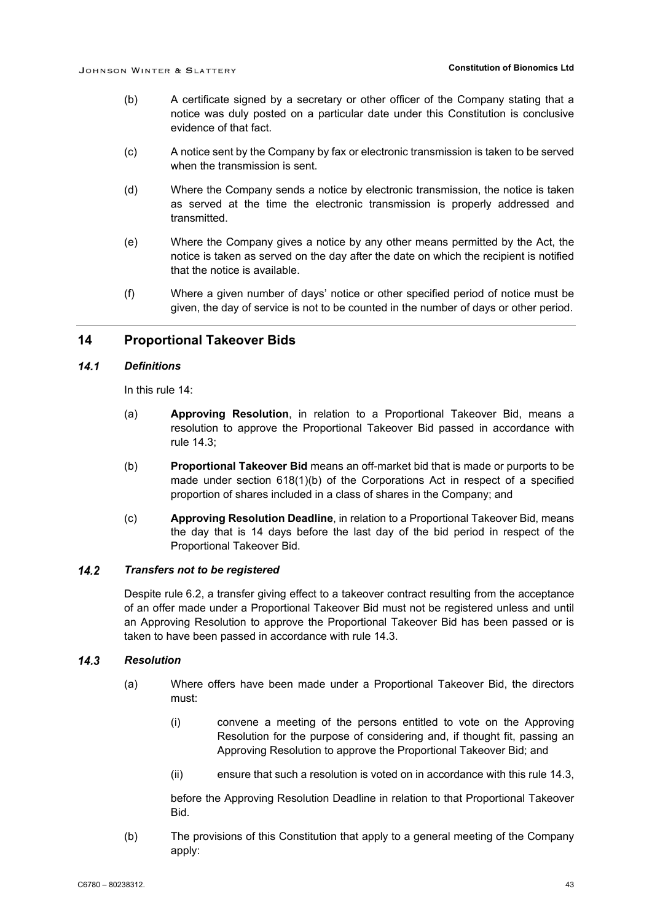- (b) A certificate signed by a secretary or other officer of the Company stating that a notice was duly posted on a particular date under this Constitution is conclusive evidence of that fact.
- (c) A notice sent by the Company by fax or electronic transmission is taken to be served when the transmission is sent.
- (d) Where the Company sends a notice by electronic transmission, the notice is taken as served at the time the electronic transmission is properly addressed and transmitted.
- (e) Where the Company gives a notice by any other means permitted by the Act, the notice is taken as served on the day after the date on which the recipient is notified that the notice is available.
- (f) Where a given number of days' notice or other specified period of notice must be given, the day of service is not to be counted in the number of days or other period.

### <span id="page-46-0"></span>**14 Proportional Takeover Bids**

#### $14.1$ *Definitions*

In this rule [14:](#page-46-0)

- (a) **Approving Resolution**, in relation to a Proportional Takeover Bid, means a resolution to approve the Proportional Takeover Bid passed in accordance with rule [14.3;](#page-46-1)
- (b) **Proportional Takeover Bid** means an off-market bid that is made or purports to be made under section 618(1)(b) of the Corporations Act in respect of a specified proportion of shares included in a class of shares in the Company; and
- (c) **Approving Resolution Deadline**, in relation to a Proportional Takeover Bid, means the day that is 14 days before the last day of the bid period in respect of the Proportional Takeover Bid.

#### $14.2$ *Transfers not to be registered*

Despite rule [6.2,](#page-22-4) a transfer giving effect to a takeover contract resulting from the acceptance of an offer made under a Proportional Takeover Bid must not be registered unless and until an Approving Resolution to approve the Proportional Takeover Bid has been passed or is taken to have been passed in accordance with rule [14.3.](#page-46-1)

#### <span id="page-46-2"></span><span id="page-46-1"></span> $14.3$ *Resolution*

- (a) Where offers have been made under a Proportional Takeover Bid, the directors must:
	- (i) convene a meeting of the persons entitled to vote on the Approving Resolution for the purpose of considering and, if thought fit, passing an Approving Resolution to approve the Proportional Takeover Bid; and
	- (ii) ensure that such a resolution is voted on in accordance with this rule [14.3,](#page-46-1)

before the Approving Resolution Deadline in relation to that Proportional Takeover Bid.

(b) The provisions of this Constitution that apply to a general meeting of the Company apply: